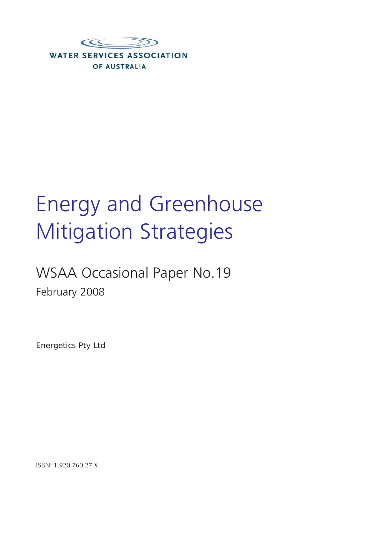CCC  $\rightarrow$ **WATER SERVICES ASSOCIATION** OF AUSTRALIA

# Energy and Greenhouse Mitigation Strategies

# WSAA Occasional Paper No.19 February 2008

Energetics Pty Ltd

ISBN: 1 920 760 27 X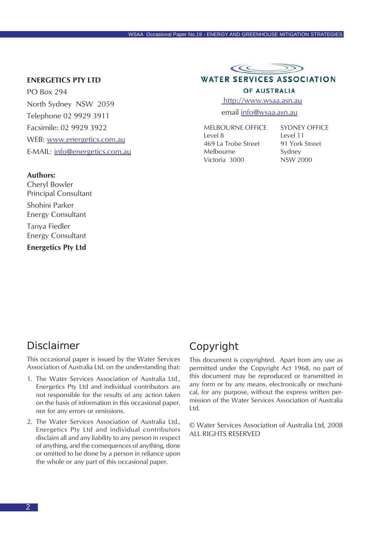#### **ENERGETICS PTY LTD**

PO Box 294 North Sydney NSW 2059 Telephone 02 9929 3911 Facsimile: 02 9929 3922 WEB: www.energetics.com.au E-MAIL: info@energetics.com.au

#### **Authors:**

Cheryl Bowler Principal Consultant Shohini Parker Energy Consultant Tanya Fiedler Energy Consultant

**Energetics Pty Ltd**

# $\left(\begin{matrix} 1 & 1 \\ 1 & 1 \end{matrix}\right)$

# **WATER SERVICES ASSOCIATION**

#### OF AUSTRALIA

http://www.wsaa.asn.au

email info@wsaa.asn.au

MELBOURNE OFFICE Level 8 469 La Trobe Street Melbourne Victoria 3000

SYDNEY OFFICE Level 11 91 York Street Sydney NSW 2000

# Disclaimer

This occasional paper is issued by the Water Services Association of Australia Ltd. on the understanding that:

- 1. The Water Services Association of Australia Ltd., Energetics Pty Ltd and individual contributors are not responsible for the results of any action taken on the basis of information in this occasional paper, nor for any errors or omissions.
- 2. The Water Services Association of Australia Ltd., Energetics Pty Ltd and individual contributors disclaim all and any liability to any person in respect of anything, and the consequences of anything, done or omitted to be done by a person in reliance upon the whole or any part of this occasional paper.

# Copyright

This document is copyrighted. Apart from any use as permitted under the Copyright Act 1968, no part of this document may be reproduced or transmitted in any form or by any means, electronically or mechanical, for any purpose, without the express written permission of the Water Services Association of Australia Ltd.

© Water Services Association of Australia Ltd, 2008 ALL RIGHTS RESERVED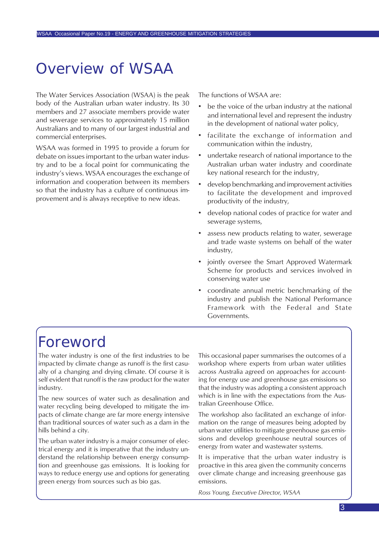# Overview of WSAA

The Water Services Association (WSAA) is the peak body of the Australian urban water industry. Its 30 members and 27 associate members provide water and sewerage services to approximately 15 million Australians and to many of our largest industrial and commercial enterprises.

WSAA was formed in 1995 to provide a forum for debate on issues important to the urban water industry and to be a focal point for communicating the industry's views. WSAA encourages the exchange of information and cooperation between its members so that the industry has a culture of continuous improvement and is always receptive to new ideas.

The functions of WSAA are:

- be the voice of the urban industry at the national and international level and represent the industry in the development of national water policy,
- facilitate the exchange of information and communication within the industry,
- undertake research of national importance to the Australian urban water industry and coordinate key national research for the industry,
- develop benchmarking and improvement activities to facilitate the development and improved productivity of the industry,
- develop national codes of practice for water and sewerage systems,
- assess new products relating to water, sewerage and trade waste systems on behalf of the water industry,
- jointly oversee the Smart Approved Watermark Scheme for products and services involved in conserving water use
- coordinate annual metric benchmarking of the industry and publish the National Performance Framework with the Federal and State Governments.

# Foreword

The water industry is one of the first industries to be impacted by climate change as runoff is the first casualty of a changing and drying climate. Of course it is self evident that runoff is the raw product for the water industry.

The new sources of water such as desalination and water recycling being developed to mitigate the impacts of climate change are far more energy intensive than traditional sources of water such as a dam in the hills behind a city.

The urban water industry is a major consumer of electrical energy and it is imperative that the industry understand the relationship between energy consumption and greenhouse gas emissions. It is looking for ways to reduce energy use and options for generating green energy from sources such as bio gas.

This occasional paper summarises the outcomes of a workshop where experts from urban water utilities across Australia agreed on approaches for accounting for energy use and greenhouse gas emissions so that the industry was adopting a consistent approach which is in line with the expectations from the Australian Greenhouse Office.

The workshop also facilitated an exchange of information on the range of measures being adopted by urban water utilities to mitigate greenhouse gas emissions and develop greenhouse neutral sources of energy from water and wastewater systems.

It is imperative that the urban water industry is proactive in this area given the community concerns over climate change and increasing greenhouse gas emissions.

*Ross Young, Executive Director, WSAA*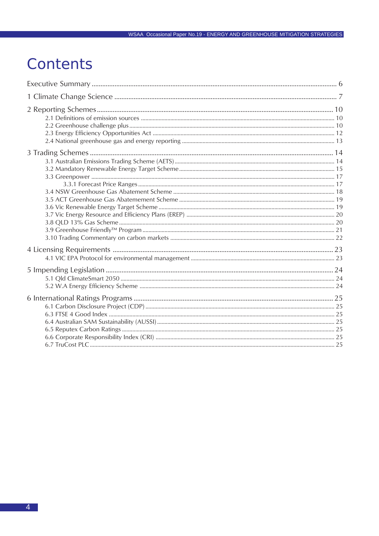# Contents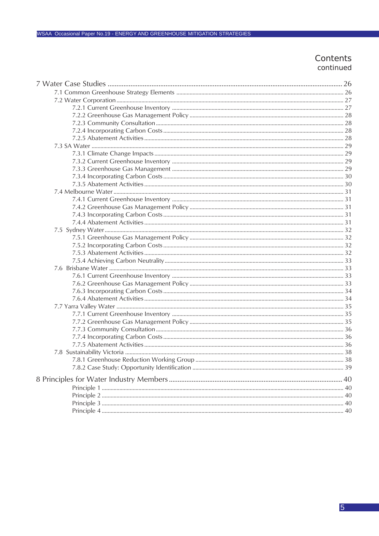## Contents continued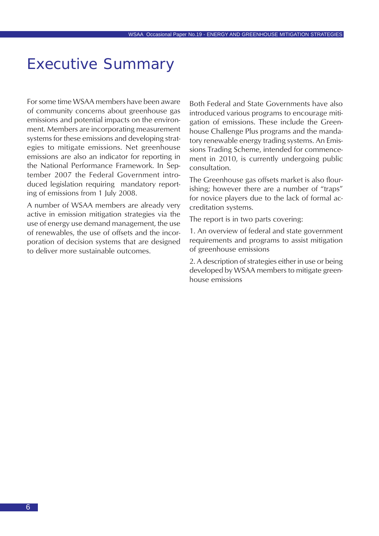# <span id="page-5-0"></span>Executive Summary

For some time WSAA members have been aware of community concerns about greenhouse gas emissions and potential impacts on the environment. Members are incorporating measurement systems for these emissions and developing strategies to mitigate emissions. Net greenhouse emissions are also an indicator for reporting in the National Performance Framework. In September 2007 the Federal Government introduced legislation requiring mandatory reporting of emissions from 1 July 2008.

A number of WSAA members are already very active in emission mitigation strategies via the use of energy use demand management, the use of renewables, the use of offsets and the incorporation of decision systems that are designed to deliver more sustainable outcomes.

Both Federal and State Governments have also introduced various programs to encourage mitigation of emissions. These include the Greenhouse Challenge Plus programs and the mandatory renewable energy trading systems. An Emissions Trading Scheme, intended for commencement in 2010, is currently undergoing public consultation.

The Greenhouse gas offsets market is also flourishing; however there are a number of "traps" for novice players due to the lack of formal accreditation systems.

The report is in two parts covering:

1. An overview of federal and state government requirements and programs to assist mitigation of greenhouse emissions

2. A description of strategies either in use or being developed by WSAA members to mitigate greenhouse emissions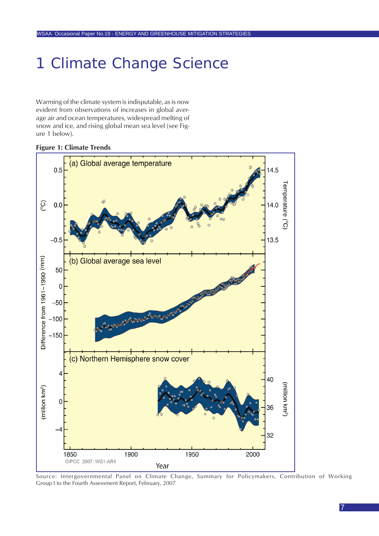# 1 Climate Change Science

Warming of the climate system is indisputable, as is now evident from observations of increases in global average air and ocean temperatures, widespread melting of snow and ice, and rising global mean sea level (see Figure 1 below).





Source: Intergovernmental Panel on Climate Change, Summary for Policymakers, Contribution of Working Group I to the Fourth Assessment Report, February, 2007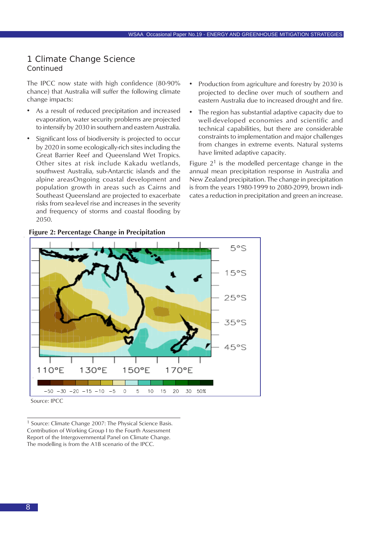### 1 Climate Change Science *Continued*

The IPCC now state with high confidence (80-90% chance) that Australia will suffer the following climate change impacts:

- As a result of reduced precipitation and increased evaporation, water security problems are projected to intensify by 2030 in southern and eastern Australia.
- Significant loss of biodiversity is projected to occur by 2020 in some ecologically-rich sites including the Great Barrier Reef and Queensland Wet Tropics. Other sites at risk include Kakadu wetlands, southwest Australia, sub-Antarctic islands and the alpine areasOngoing coastal development and population growth in areas such as Cairns and Southeast Queensland are projected to exacerbate risks from sea-level rise and increases in the severity and frequency of storms and coastal flooding by 2050.
- Production from agriculture and forestry by 2030 is projected to decline over much of southern and eastern Australia due to increased drought and fire.
- The region has substantial adaptive capacity due to well-developed economies and scientific and technical capabilities, but there are considerable constraints to implementation and major challenges from changes in extreme events. Natural systems have limited adaptive capacity.

Figure  $2<sup>1</sup>$  is the modelled percentage change in the annual mean precipitation response in Australia and New Zealand precipitation. The change in precipitation is from the years 1980-1999 to 2080-2099, brown indicates a reduction in precipitation and green an increase.



#### **Figure 2: Percentage Change in Precipitation**

<sup>1</sup> Source: Climate Change 2007: The Physical Science Basis. Contribution of Working Group I to the Fourth Assessment Report of the Intergovernmental Panel on Climate Change. The modelling is from the A1B scenario of the IPCC.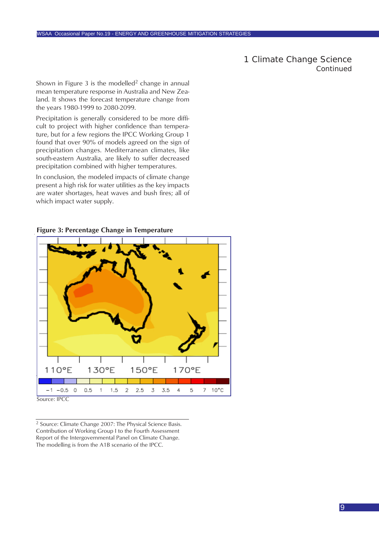### 1 Climate Change Science *Continued*

<span id="page-8-0"></span>Shown in Figure 3 is the modelled<sup>2</sup> change in annual mean temperature response in Australia and New Zealand. It shows the forecast temperature change from the years 1980-1999 to 2080-2099.

Precipitation is generally considered to be more difficult to project with higher confidence than temperature, but for a few regions the IPCC Working Group 1 found that over 90% of models agreed on the sign of precipitation changes. Mediterranean climates, like south-eastern Australia, are likely to suffer decreased precipitation combined with higher temperatures.

In conclusion, the modeled impacts of climate change present a high risk for water utilities as the key impacts are water shortages, heat waves and bush fires; all of which impact water supply.



**Figure 3: Percentage Change in Temperature**

2 Source: Climate Change 2007: The Physical Science Basis. Contribution of Working Group I to the Fourth Assessment Report of the Intergovernmental Panel on Climate Change. The modelling is from the A1B scenario of the IPCC.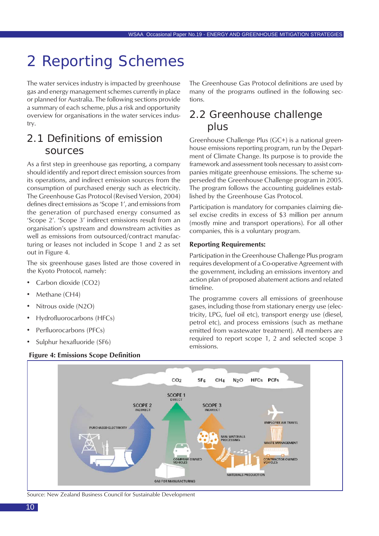# <span id="page-9-0"></span>2 Reporting Schemes

The water services industry is impacted by greenhouse gas and energy management schemes currently in place or planned for Australia. The following sections provide a summary of each scheme, plus a risk and opportunity overview for organisations in the water services industry.

# 2.1 Definitions of emission sources

As a first step in greenhouse gas reporting, a company should identify and report direct emission sources from its operations, and indirect emission sources from the consumption of purchased energy such as electricity. The Greenhouse Gas Protocol (Revised Version, 2004) defines direct emissions as 'Scope 1', and emissions from the generation of purchased energy consumed as 'Scope 2'. 'Scope 3' indirect emissions result from an organisation's upstream and downstream activities as well as emissions from outsourced/contract manufacturing or leases not included in Scope 1 and 2 as set out in Figure 4.

The six greenhouse gases listed are those covered in the Kyoto Protocol, namely:

- Carbon dioxide (CO2)
- Methane (CH4)
- Nitrous oxide (N2O)
- Hydrofluorocarbons (HFCs)
- Perfluorocarbons (PFCs)
- Sulphur hexafluoride (SF6)



#### **Figure 4: Emissions Scope Definition**

The Greenhouse Gas Protocol definitions are used by many of the programs outlined in the following sections.

# 2.2 Greenhouse challenge plus

Greenhouse Challenge Plus (GC+) is a national greenhouse emissions reporting program, run by the Department of Climate Change. Its purpose is to provide the framework and assessment tools necessary to assist companies mitigate greenhouse emissions. The scheme superseded the Greenhouse Challenge program in 2005. The program follows the accounting guidelines established by the Greenhouse Gas Protocol.

Participation is mandatory for companies claiming diesel excise credits in excess of \$3 million per annum (mostly mine and transport operations). For all other companies, this is a voluntary program.

#### **Reporting Requirements:**

Participation in the Greenhouse Challenge Plus program requires development of a Co-operative Agreement with the government, including an emissions inventory and action plan of proposed abatement actions and related timeline.

The programme covers all emissions of greenhouse gases, including those from stationary energy use (electricity, LPG, fuel oil etc), transport energy use (diesel, petrol etc), and process emissions (such as methane emitted from wastewater treatment). All members are required to report scope 1, 2 and selected scope 3 emissions.

Source: New Zealand Business Council for Sustainable Development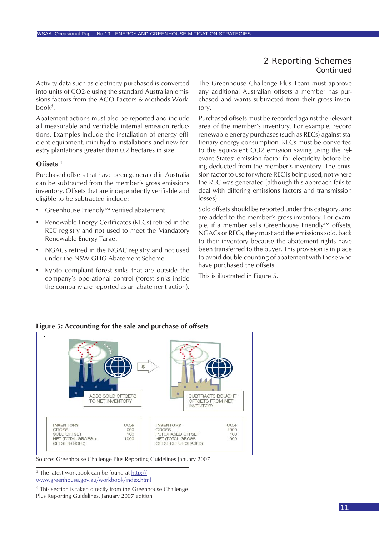### 2 Reporting Schemes *Continued*

Activity data such as electricity purchased is converted into units of CO2-e using the standard Australian emissions factors from the AGO Factors & Methods Work $book<sup>3</sup>$ .

Abatement actions must also be reported and include all measurable and verifiable internal emission reductions. Examples include the installation of energy efficient equipment, mini-hydro installations and new forestry plantations greater than 0.2 hectares in size.

### **Offsets 4**

Purchased offsets that have been generated in Australia can be subtracted from the member's gross emissions inventory. Offsets that are independently verifiable and eligible to be subtracted include:

- Greenhouse Friendly™ verified abatement
- Renewable Energy Certificates (RECs) retired in the REC registry and not used to meet the Mandatory Renewable Energy Target
- NGACs retired in the NGAC registry and not used under the NSW GHG Abatement Scheme
- Kyoto compliant forest sinks that are outside the company's operational control (forest sinks inside the company are reported as an abatement action).

The Greenhouse Challenge Plus Team must approve any additional Australian offsets a member has purchased and wants subtracted from their gross inventory.

Purchased offsets must be recorded against the relevant area of the member's inventory. For example, record renewable energy purchases (such as RECs) against stationary energy consumption. RECs must be converted to the equivalent CO2 emission saving using the relevant States' emission factor for electricity before being deducted from the member's inventory. The emission factor to use for where REC is being used, not where the REC was generated (although this approach fails to deal with differing emissions factors and transmission losses)..

Sold offsets should be reported under this category, and are added to the member's gross inventory. For example, if a member sells Greenhouse Friendly™ offsets, NGACs or RECs, they must add the emissions sold, back to their inventory because the abatement rights have been transferred to the buyer. This provision is in place to avoid double counting of abatement with those who have purchased the offsets.

This is illustrated in Figure 5.



#### **Figure 5: Accounting for the sale and purchase of offsets**

Source: Greenhouse Challenge Plus Reporting Guidelines January 2007

<sup>3</sup> The latest workbook can be found at  $\frac{http://}{http://}$ www.greenhouse.gov.au/workbook/index.html

<sup>4</sup> This section is taken directly from the Greenhouse Challenge Plus Reporting Guidelines, January 2007 edition.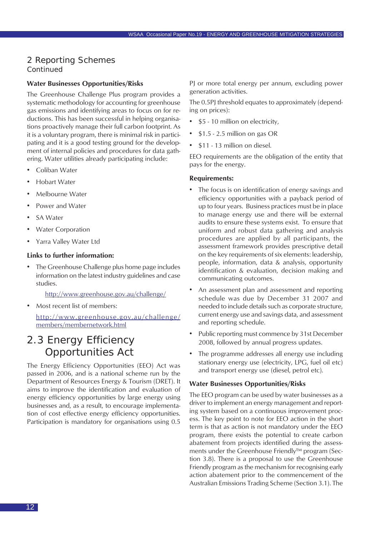### <span id="page-11-0"></span>2 Reporting Schemes

### *Continued*

#### **Water Businesses Opportunities/Risks**

The Greenhouse Challenge Plus program provides a systematic methodology for accounting for greenhouse gas emissions and identifying areas to focus on for reductions. This has been successful in helping organisations proactively manage their full carbon footprint. As it is a voluntary program, there is minimal risk in participating and it is a good testing ground for the development of internal policies and procedures for data gathering. Water utilities already participating include:

- Coliban Water
- Hobart Water
- Melbourne Water
- Power and Water
- SA Water
- **Water Corporation**
- Yarra Valley Water Ltd

#### **Links to further information:**

• The Greenhouse Challenge plus home page includes information on the latest industry guidelines and case studies.

http://www.greenhouse.gov.au/challenge/

• Most recent list of members:

http://www.greenhouse.gov.au/challenge/ members/membernetwork.html

# 2.3 Energy Efficiency Opportunities Act

The Energy Efficiency Opportunities (EEO) Act was passed in 2006, and is a national scheme run by the Department of Resources Energy & Tourism (DRET). It aims to improve the identification and evaluation of energy efficiency opportunities by large energy using businesses and, as a result, to encourage implementation of cost effective energy efficiency opportunities. Participation is mandatory for organisations using 0.5

PJ or more total energy per annum, excluding power generation activities.

The 0.5PJ threshold equates to approximately (depending on prices):

- \$5 10 million on electricity,
- \$1.5 2.5 million on gas OR
- \$11 13 million on diesel.

EEO requirements are the obligation of the entity that pays for the energy.

#### **Requirements:**

- The focus is on identification of energy savings and efficiency opportunities with a payback period of up to four years. Business practices must be in place to manage energy use and there will be external audits to ensure these systems exist. To ensure that uniform and robust data gathering and analysis procedures are applied by all participants, the assessment framework provides prescriptive detail on the key requirements of six elements: leadership, people, information, data & analysis, opportunity identification & evaluation, decision making and communicating outcomes.
- An assessment plan and assessment and reporting schedule was due by December 31 2007 and needed to include details such as corporate structure, current energy use and savings data, and assessment and reporting schedule.
- Public reporting must commence by 31st December 2008, followed by annual progress updates.
- The programme addresses all energy use including stationary energy use (electricity, LPG, fuel oil etc) and transport energy use (diesel, petrol etc).

#### **Water Businesses Opportunities/Risks**

The EEO program can be used by water businesses as a driver to implement an energy management and reporting system based on a continuous improvement process. The key point to note for EEO action in the short term is that as action is not mandatory under the EEO program, there exists the potential to create carbon abatement from projects identified during the assessments under the Greenhouse Friendly™ program (Section 3.8). There is a proposal to use the Greenhouse Friendly program as the mechanism for recognising early action abatement prior to the commencement of the Australian Emissions Trading Scheme (Section 3.1). The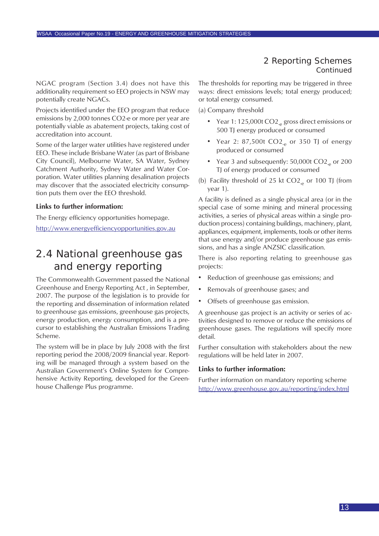### 2 Reporting Schemes *Continued*

<span id="page-12-0"></span>NGAC program (Section 3.4) does not have this additionality requirement so EEO projects in NSW may potentially create NGACs.

Projects identified under the EEO program that reduce emissions by 2,000 tonnes CO2-e or more per year are potentially viable as abatement projects, taking cost of accreditation into account.

Some of the larger water utilities have registered under EEO. These include Brisbane Water (as part of Brisbane City Council), Melbourne Water, SA Water, Sydney Catchment Authority, Sydney Water and Water Corporation. Water utilities planning desalination projects may discover that the associated electricity consumption puts them over the EEO threshold.

#### **Links to further information:**

The Energy efficiency opportunities homepage.

http://www.energyefficiencyopportunities.gov.au

# 2.4 National greenhouse gas and energy reporting

The Commonwealth Government passed the National Greenhouse and Energy Reporting Act , in September, 2007. The purpose of the legislation is to provide for the reporting and dissemination of information related to greenhouse gas emissions, greenhouse gas projects, energy production, energy consumption, and is a precursor to establishing the Australian Emissions Trading Scheme.

The system will be in place by July 2008 with the first reporting period the 2008/2009 financial year. Reporting will be managed through a system based on the Australian Government's Online System for Comprehensive Activity Reporting, developed for the Greenhouse Challenge Plus programme.

The thresholds for reporting may be triggered in three ways: direct emissions levels; total energy produced; or total energy consumed.

(a) Company threshold

- Year 1: 125,000t  $CO2_{\text{e}}$  gross direct emissions or 500 TJ energy produced or consumed
- Year 2: 87,500t  $CO2_{\text{e}}$  or 350 TJ of energy produced or consumed
- Year 3 and subsequently:  $50,000$ t CO2<sub>-e</sub> or 200 TJ of energy produced or consumed
- (b) Facility threshold of 25 kt  $CO2<sub>-e</sub>$  or 100 TJ (from year 1).

A facility is defined as a single physical area (or in the special case of some mining and mineral processing activities, a series of physical areas within a single production process) containing buildings, machinery, plant, appliances, equipment, implements, tools or other items that use energy and/or produce greenhouse gas emissions, and has a single ANZSIC classification.

There is also reporting relating to greenhouse gas projects:

- Reduction of greenhouse gas emissions; and
- Removals of greenhouse gases; and
- Offsets of greenhouse gas emission.

A greenhouse gas project is an activity or series of activities designed to remove or reduce the emissions of greenhouse gases. The regulations will specify more detail.

Further consultation with stakeholders about the new regulations will be held later in 2007.

#### **Links to further information:**

Further information on mandatory reporting scheme http://www.greenhouse.gov.au/reporting/index.html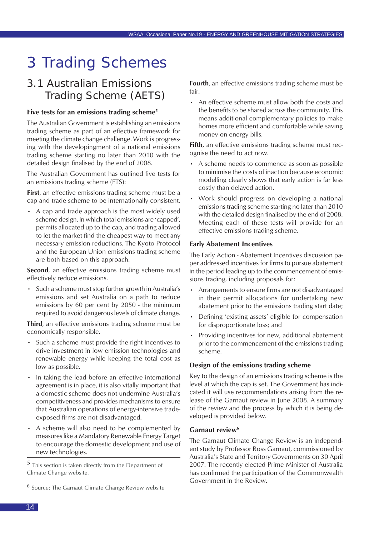# <span id="page-13-0"></span>3 Trading Schemes

# 3.1 Australian Emissions Trading Scheme (AETS)

#### **Five tests for an emissions trading scheme5**

The Australian Government is establishing an emissions trading scheme as part of an effective framework for meeting the climate change challenge. Work is progressing with the developingment of a national emissions trading scheme starting no later than 2010 with the detailed design finalised by the end of 2008.

The Australian Government has outlined five tests for an emissions trading scheme (ETS):

**First**, an effective emissions trading scheme must be a cap and trade scheme to be internationally consistent.

• A cap and trade approach is the most widely used scheme design, in which total emissions are 'capped', permits allocated up to the cap, and trading allowed to let the market find the cheapest way to meet any necessary emission reductions. The Kyoto Protocol and the European Union emissions trading scheme are both based on this approach.

**Second**, an effective emissions trading scheme must effectively reduce emissions.

• Such a scheme must stop further growth in Australia's emissions and set Australia on a path to reduce emissions by 60 per cent by 2050 - the minimum required to avoid dangerous levels of climate change.

**Third**, an effective emissions trading scheme must be economically responsible.

- Such a scheme must provide the right incentives to drive investment in low emission technologies and renewable energy while keeping the total cost as low as possible.
- In taking the lead before an effective international agreement is in place, it is also vitally important that a domestic scheme does not undermine Australia's competitiveness and provides mechanisms to ensure that Australian operations of energy-intensive tradeexposed firms are not disadvantaged.
- A scheme will also need to be complemented by measures like a Mandatory Renewable Energy Target to encourage the domestic development and use of new technologies.

<sup>5</sup> This section is taken directly from the Department of Climate Change website.

**Fourth**, an effective emissions trading scheme must be fair.

• An effective scheme must allow both the costs and the benefits to be shared across the community. This means additional complementary policies to make homes more efficient and comfortable while saving money on energy bills.

**Fifth**, an effective emissions trading scheme must recognise the need to act now.

- A scheme needs to commence as soon as possible to minimise the costs of inaction because economic modelling clearly shows that early action is far less costly than delayed action.
- Work should progress on developing a national emissions trading scheme starting no later than 2010 with the detailed design finalised by the end of 2008. Meeting each of these tests will provide for an effective emissions trading scheme.

#### **Early Abatement Incentives**

The Early Action - Abatement Incentives discussion paper addressed incentives for firms to pursue abatement in the period leading up to the commencement of emissions trading, including proposals for:

- Arrangements to ensure firms are not disadvantaged in their permit allocations for undertaking new abatement prior to the emissions trading start date;
- Defining 'existing assets' eligible for compensation for disproportionate loss; and
- Providing incentives for new, additional abatement prior to the commencement of the emissions trading scheme.

#### **Design of the emissions trading scheme**

Key to the design of an emissions trading scheme is the level at which the cap is set. The Government has indicated it will use recommendations arising from the release of the Garnaut review in June 2008. A summary of the review and the process by which it is being developed is provided below.

#### Garnaut review<sup>6</sup>

The Garnaut Climate Change Review is an independent study by Professor Ross Garnaut, commissioned by Australia's State and Territory Governments on 30 April 2007. The recently elected Prime Minister of Australia has confirmed the participation of the Commonwealth Government in the Review.

<sup>6</sup> Source: The Garnaut Climate Change Review website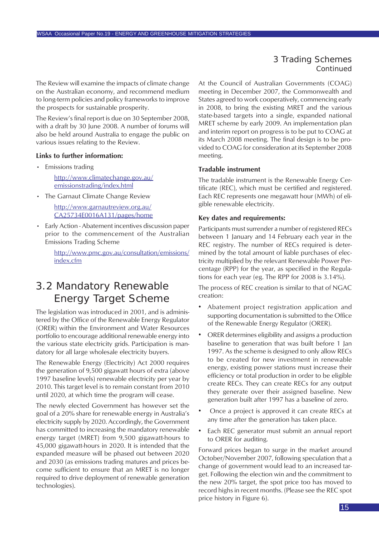The Review will examine the impacts of climate change on the Australian economy, and recommend medium to long-term policies and policy frameworks to improve the prospects for sustainable prosperity.

The Review's final report is due on 30 September 2008, with a draft by 30 June 2008. A number of forums will also be held around Australia to engage the public on various issues relating to the Review.

#### **Links to further information:**

• Emissions trading

http://www.climatechange.gov.au/ emissionstrading/index.html

• The Garnaut Climate Change Review

http://www.garnautreview.org.au/ CA25734E0016A131/pages/home

• Early Action - Abatement incentives discussion paper prior to the commencement of the Australian Emissions Trading Scheme

> http://www.pmc.gov.au/consultation/emissions/ index.cfm

# 3.2 Mandatory Renewable Energy Target Scheme

The legislation was introduced in 2001, and is administered by the Office of the Renewable Energy Regulator (ORER) within the Environment and Water Resources portfolio to encourage additional renewable energy into the various state electricity grids. Participation is mandatory for all large wholesale electricity buyers.

The Renewable Energy (Electricity) Act 2000 requires the generation of 9,500 gigawatt hours of extra (above 1997 baseline levels) renewable electricity per year by 2010. This target level is to remain constant from 2010 until 2020, at which time the program will cease.

The newly elected Government has however set the goal of a 20% share for renewable energy in Australia's electricity supply by 2020. Accordingly, the Government has committed to increasing the mandatory renewable energy target (MRET) from 9,500 gigawatt-hours to 45,000 gigawatt-hours in 2020. It is intended that the expanded measure will be phased out between 2020 and 2030 (as emissions trading matures and prices become sufficient to ensure that an MRET is no longer required to drive deployment of renewable generation technologies).

### 3 Trading Schemes *Continued*

At the Council of Australian Governments (COAG) meeting in December 2007, the Commonwealth and States agreed to work cooperatively, commencing early in 2008, to bring the existing MRET and the various state-based targets into a single, expanded national MRET scheme by early 2009. An implementation plan and interim report on progress is to be put to COAG at its March 2008 meeting. The final design is to be provided to COAG for consideration at its September 2008 meeting.

#### **Tradable instrument**

The tradable instrument is the Renewable Energy Certificate (REC), which must be certified and registered. Each REC represents one megawatt hour (MWh) of eligible renewable electricity.

#### **Key dates and requirements:**

Participants must surrender a number of registered RECs between 1 January and 14 February each year in the REC registry. The number of RECs required is determined by the total amount of liable purchases of electricity multiplied by the relevant Renewable Power Percentage (RPP) for the year, as specified in the Regulations for each year (eg. The RPP for 2008 is 3.14%).

The process of REC creation is similar to that of NGAC creation:

- Abatement project registration application and supporting documentation is submitted to the Office of the Renewable Energy Regulator (ORER).
- ORER determines eligibility and assigns a production baseline to generation that was built before 1 Jan 1997. As the scheme is designed to only allow RECs to be created for new investment in renewable energy, existing power stations must increase their efficiency or total production in order to be eligible create RECs. They can create RECs for any output they generate over their assigned baseline. New generation built after 1997 has a baseline of zero.
- Once a project is approved it can create RECs at any time after the generation has taken place.
- Each REC generator must submit an annual report to ORER for auditing.

Forward prices began to surge in the market around October/November 2007, following speculation that a change of government would lead to an increased target. Following the election win and the commitment to the new 20% target, the spot price too has moved to record highs in recent months. (Please see the REC spot price history in Figure 6).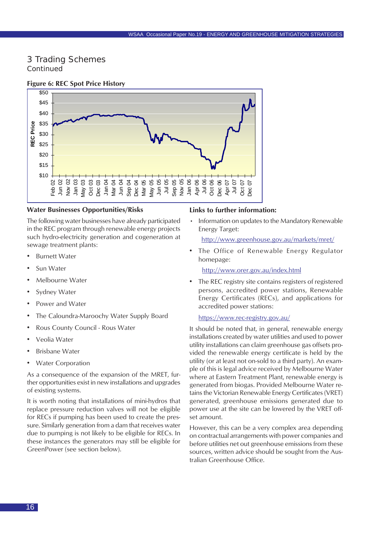#### <span id="page-15-0"></span>**Figure 6: REC Spot Price History**



#### **Water Businesses Opportunities/Risks**

The following water businesses have already participated in the REC program through renewable energy projects such hydro-electricity generation and cogeneration at sewage treatment plants:

- **Burnett Water**
- Sun Water
- Melbourne Water
- Sydney Water
- Power and Water
- The Caloundra-Maroochy Water Supply Board
- Rous County Council Rous Water
- Veolia Water
- **Brisbane Water**
- **Water Corporation**

As a consequence of the expansion of the MRET, further opportunities exist in new installations and upgrades of existing systems.

It is worth noting that installations of mini-hydros that replace pressure reduction valves will not be eligible for RECs if pumping has been used to create the pressure. Similarly generation from a dam that receives water due to pumping is not likely to be eligible for RECs. In these instances the generators may still be eligible for GreenPower (see section below).

#### **Links to further information:**

• Information on updates to the Mandatory Renewable Energy Target:

http://www.greenhouse.gov.au/markets/mret/

The Office of Renewable Energy Regulator homepage:

#### http://www.orer.gov.au/index.html

• The REC registry site contains registers of registered persons, accredited power stations, Renewable Energy Certificates (RECs), and applications for accredited power stations:

#### https://www.rec-registry.gov.au/

It should be noted that, in general, renewable energy installations created by water utilities and used to power utility installations can claim greenhouse gas offsets provided the renewable energy certificate is held by the utility (or at least not on-sold to a third party). An example of this is legal advice received by Melbourne Water where at Eastern Treatment Plant, renewable energy is generated from biogas. Provided Melbourne Water retains the Victorian Renewable Energy Certificates (VRET) generated, greenhouse emissions generated due to power use at the site can be lowered by the VRET offset amount.

However, this can be a very complex area depending on contractual arrangements with power companies and before utilities net out greenhouse emissions from these sources, written advice should be sought from the Australian Greenhouse Office.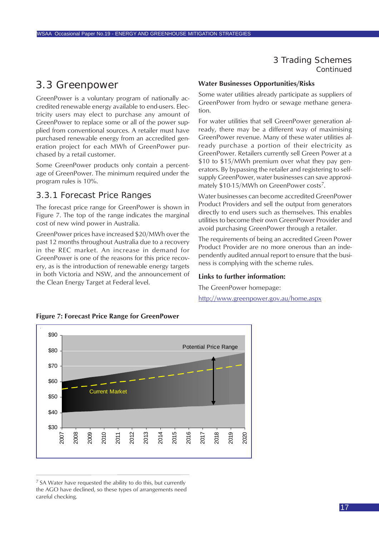# <span id="page-16-0"></span>3.3 Greenpower

GreenPower is a voluntary program of nationally accredited renewable energy available to end-users. Electricity users may elect to purchase any amount of GreenPower to replace some or all of the power supplied from conventional sources. A retailer must have purchased renewable energy from an accredited generation project for each MWh of GreenPower purchased by a retail customer.

Some GreenPower products only contain a percentage of GreenPower. The minimum required under the program rules is 10%.

### 3.3.1 Forecast Price Ranges

The forecast price range for GreenPower is shown in Figure 7. The top of the range indicates the marginal cost of new wind power in Australia.

GreenPower prices have increased \$20/MWh over the past 12 months throughout Australia due to a recovery in the REC market. An increase in demand for GreenPower is one of the reasons for this price recovery, as is the introduction of renewable energy targets in both Victoria and NSW, and the announcement of the Clean Energy Target at Federal level.

#### **Water Businesses Opportunities/Risks**

Some water utilities already participate as suppliers of GreenPower from hydro or sewage methane generation.

For water utilities that sell GreenPower generation already, there may be a different way of maximising GreenPower revenue. Many of these water utilities already purchase a portion of their electricity as GreenPower. Retailers currently sell Green Power at a \$10 to \$15/MWh premium over what they pay generators. By bypassing the retailer and registering to selfsupply GreenPower, water businesses can save approximately \$10-15/MWh on GreenPower costs<sup>7</sup>.

Water businesses can become accredited GreenPower Product Providers and sell the output from generators directly to end users such as themselves. This enables utilities to become their own GreenPower Provider and avoid purchasing GreenPower through a retailer.

The requirements of being an accredited Green Power Product Provider are no more onerous than an independently audited annual report to ensure that the business is complying with the scheme rules.

#### **Links to further information:**

The GreenPower homepage: http://www.greenpower.gov.au/home.aspx



#### **Figure 7: Forecast Price Range for GreenPower**

 $<sup>7</sup>$  SA Water have requested the ability to do this, but currently</sup> the AGO have declined, so these types of arrangements need careful checking.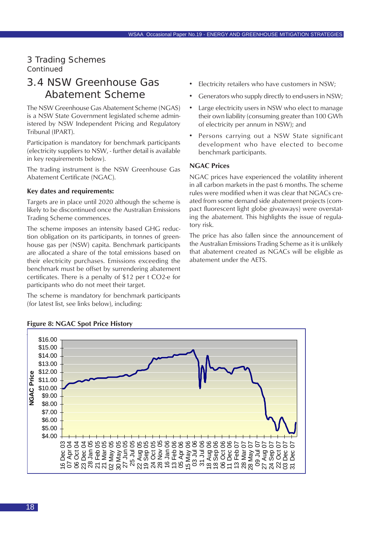# <span id="page-17-0"></span>3.4 NSW Greenhouse Gas Abatement Scheme

The NSW Greenhouse Gas Abatement Scheme (NGAS) is a NSW State Government legislated scheme administered by NSW Independent Pricing and Regulatory Tribunal (IPART).

Participation is mandatory for benchmark participants (electricity suppliers to NSW, - further detail is available in key requirements below).

The trading instrument is the NSW Greenhouse Gas Abatement Certificate (NGAC).

#### **Key dates and requirements:**

Targets are in place until 2020 although the scheme is likely to be discontinued once the Australian Emissions Trading Scheme commences.

The scheme imposes an intensity based GHG reduction obligation on its participants, in tonnes of greenhouse gas per (NSW) capita. Benchmark participants are allocated a share of the total emissions based on their electricity purchases. Emissions exceeding the benchmark must be offset by surrendering abatement certificates. There is a penalty of \$12 per t CO2-e for participants who do not meet their target.

The scheme is mandatory for benchmark participants (for latest list, see links below), including:

- Electricity retailers who have customers in NSW;
- Generators who supply directly to end-users in NSW;
- Large electricity users in NSW who elect to manage their own liability (consuming greater than 100 GWh of electricity per annum in NSW); and
- Persons carrying out a NSW State significant development who have elected to become benchmark participants.

#### **NGAC Prices**

NGAC prices have experienced the volatility inherent in all carbon markets in the past 6 months. The scheme rules were modified when it was clear that NGACs created from some demand side abatement projects (compact fluorescent light globe giveaways) were overstating the abatement. This highlights the issue of regulatory risk.

The price has also fallen since the announcement of the Australian Emissions Trading Scheme as it is unlikely that abatement created as NGACs will be eligible as abatement under the AETS.



#### **Figure 8: NGAC Spot Price History**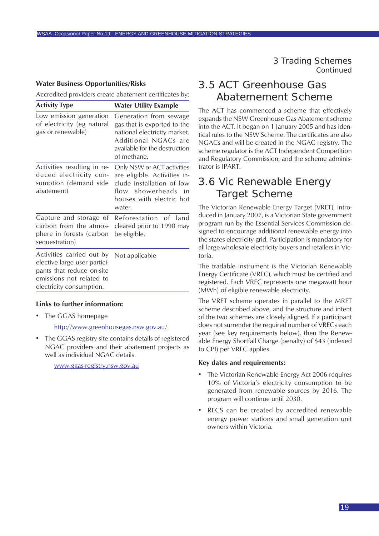#### <span id="page-18-0"></span>**Water Business Opportunities/Risks**

Accredited providers create abatement certificates by:

| <b>Activity Type</b>                                                                                                                           | <b>Water Utility Example</b>                                                                                                                                  |
|------------------------------------------------------------------------------------------------------------------------------------------------|---------------------------------------------------------------------------------------------------------------------------------------------------------------|
| Low emission generation<br>of electricity (eg natural<br>gas or renewable)                                                                     | Generation from sewage<br>gas that is exported to the<br>national electricity market.<br>Additional NGACs are<br>available for the destruction<br>of methane. |
| Activities resulting in re-<br>duced electricity con-<br>sumption (demand side<br>abatement)                                                   | Only NSW or ACT activities<br>are eligible. Activities in-<br>clude installation of low<br>flow showerheads<br>-in<br>houses with electric hot<br>water.      |
| Capture and storage of<br>carbon from the atmos-<br>phere in forests (carbon<br>sequestration)                                                 | Reforestation of land<br>cleared prior to 1990 may<br>be eligible.                                                                                            |
| Activities carried out by<br>elective large user partici-<br>pants that reduce on-site<br>emissions not related to<br>electricity consumption. | Not applicable                                                                                                                                                |

#### **Links to further information:**

• The GGAS homepage

http://www.greenhousegas.nsw.gov.au/

• The GGAS registry site contains details of registered NGAC providers and their abatement projects as well as individual NGAC details.

www.ggas-registry.nsw.gov.au

# 3.5 ACT Greenhouse Gas Abatemement Scheme

The ACT has commenced a scheme that effectively expands the NSW Greenhouse Gas Abatement scheme into the ACT. It began on 1 January 2005 and has identical rules to the NSW Scheme. The certificates are also NGACs and will be created in the NGAC registry. The scheme regulator is the ACT Independent Competition and Regulatory Commission, and the scheme administrator is IPART.

# 3.6 Vic Renewable Energy Target Scheme

The Victorian Renewable Energy Target (VRET), introduced in January 2007, is a Victorian State government program run by the Essential Services Commission designed to encourage additional renewable energy into the states electricity grid. Participation is mandatory for all large wholesale electricity buyers and retailers in Victoria.

The tradable instrument is the Victorian Renewable Energy Certificate (VREC), which must be certified and registered. Each VREC represents one megawatt hour (MWh) of eligible renewable electricity.

The VRET scheme operates in parallel to the MRET scheme described above, and the structure and intent of the two schemes are closely aligned. If a participant does not surrender the required number of VRECs each year (see key requirements below), then the Renewable Energy Shortfall Charge (penalty) of \$43 (indexed to CPI) per VREC applies.

#### **Key dates and requirements:**

- The Victorian Renewable Energy Act 2006 requires 10% of Victoria's electricity consumption to be generated from renewable sources by 2016. The program will continue until 2030.
- RECS can be created by accredited renewable energy power stations and small generation unit owners within Victoria.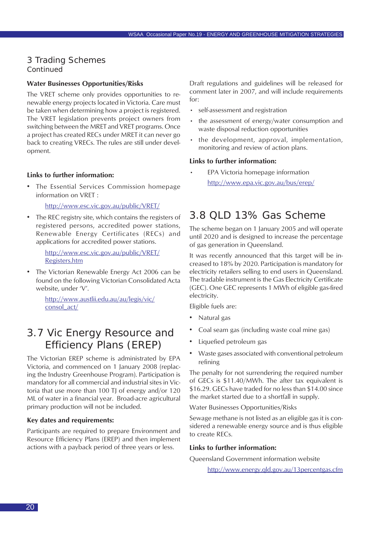# <span id="page-19-0"></span>3 Trading Schemes

### *Continued*

#### **Water Businesses Opportunities/Risks**

The VRET scheme only provides opportunities to renewable energy projects located in Victoria. Care must be taken when determining how a project is registered. The VRET legislation prevents project owners from switching between the MRET and VRET programs. Once a project has created RECs under MRET it can never go back to creating VRECs. The rules are still under development.

#### **Links to further information:**

• The Essential Services Commission homepage information on VRET :

http://www.esc.vic.gov.au/public/VRET/

• The REC registry site, which contains the registers of registered persons, accredited power stations, Renewable Energy Certificates (RECs) and applications for accredited power stations.

> http://www.esc.vic.gov.au/public/VRET/ Registers.htm

• The Victorian Renewable Energy Act 2006 can be found on the following Victorian Consolidated Acta website, under 'V'.

> http://www.austlii.edu.au/au/legis/vic/ consol\_act/

# 3.7 Vic Energy Resource and Efficiency Plans (EREP)

The Victorian EREP scheme is administrated by EPA Victoria, and commenced on 1 January 2008 (replacing the Industry Greenhouse Program). Participation is mandatory for all commercial and industrial sites in Victoria that use more than 100 TJ of energy and/or 120 ML of water in a financial year. Broad-acre agricultural primary production will not be included.

#### **Key dates and requirements:**

Participants are required to prepare Environment and Resource Efficiency Plans (EREP) and then implement actions with a payback period of three years or less.

Draft regulations and guidelines will be released for comment later in 2007, and will include requirements for:

- self-assessment and registration
- the assessment of energy/water consumption and waste disposal reduction opportunities
- the development, approval, implementation, monitoring and review of action plans.

#### **Links to further information:**

• EPA Victoria homepage information http://www.epa.vic.gov.au/bus/erep/

# 3.8 QLD 13% Gas Scheme

The scheme began on 1 January 2005 and will operate until 2020 and is designed to increase the percentage of gas generation in Queensland.

It was recently announced that this target will be increased to 18% by 2020. Participation is mandatory for electricity retailers selling to end users in Queensland. The tradable instrument is the Gas Electricity Certificate (GEC). One GEC represents 1 MWh of eligible gas-fired electricity.

Eligible fuels are:

- Natural gas
- Coal seam gas (including waste coal mine gas)
- Liquefied petroleum gas
- Waste gases associated with conventional petroleum refining

The penalty for not surrendering the required number of GECs is \$11.40/MWh. The after tax equivalent is \$16.29. GECs have traded for no less than \$14.00 since the market started due to a shortfall in supply.

Water Businesses Opportunities/Risks

Sewage methane is not listed as an eligible gas it is considered a renewable energy source and is thus eligible to create RECs.

#### **Links to further information:**

Queensland Government information website

http://www.energy.qld.gov.au/13percentgas.cfm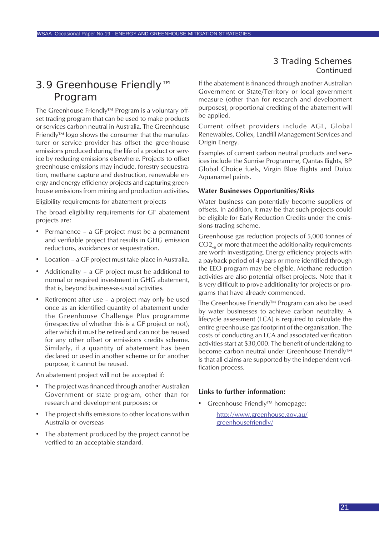# <span id="page-20-0"></span>3.9 Greenhouse Friendly™ Program

The Greenhouse Friendly™ Program is a voluntary offset trading program that can be used to make products or services carbon neutral in Australia. The Greenhouse Friendly™ logo shows the consumer that the manufacturer or service provider has offset the greenhouse emissions produced during the life of a product or service by reducing emissions elsewhere. Projects to offset greenhouse emissions may include, forestry sequestration, methane capture and destruction, renewable energy and energy efficiency projects and capturing greenhouse emissions from mining and production activities.

Eligibility requirements for abatement projects

The broad eligibility requirements for GF abatement projects are:

- Permanence a GF project must be a permanent and verifiable project that results in GHG emission reductions, avoidances or sequestration.
- Location a GF project must take place in Australia.
- Additionality a GF project must be additional to normal or required investment in GHG abatement, that is, beyond business-as-usual activities.
- Retirement after use a project may only be used once as an identified quantity of abatement under the Greenhouse Challenge Plus programme (irrespective of whether this is a GF project or not), after which it must be retired and can not be reused for any other offset or emissions credits scheme. Similarly, if a quantity of abatement has been declared or used in another scheme or for another purpose, it cannot be reused.

An abatement project will not be accepted if:

- The project was financed through another Australian Government or state program, other than for research and development purposes; or
- The project shifts emissions to other locations within Australia or overseas
- The abatement produced by the project cannot be verified to an acceptable standard.

If the abatement is financed through another Australian Government or State/Territory or local government measure (other than for research and development purposes), proportional crediting of the abatement will be applied.

Current offset providers include AGL, Global Renewables, Collex, Landfill Management Services and Origin Energy.

Examples of current carbon neutral products and services include the Sunrise Programme, Qantas flights, BP Global Choice fuels, Virgin Blue flights and Dulux Aquanamel paints.

#### **Water Businesses Opportunities/Risks**

Water business can potentially become suppliers of offsets. In addition, it may be that such projects could be eligible for Early Reduction Credits under the emissions trading scheme.

Greenhouse gas reduction projects of 5,000 tonnes of  $CO2<sub>-e</sub>$  or more that meet the additionality requirements are worth investigating. Energy efficiency projects with a payback period of 4 years or more identified through the EEO program may be eligible. Methane reduction activities are also potential offset projects. Note that it is very difficult to prove additionality for projects or programs that have already commenced.

The Greenhouse Friendly™ Program can also be used by water businesses to achieve carbon neutrality. A lifecycle assessment (LCA) is required to calculate the entire greenhouse gas footprint of the organisation. The costs of conducting an LCA and associated verification activities start at \$30,000. The benefit of undertaking to become carbon neutral under Greenhouse Friendly™ is that all claims are supported by the independent verification process.

#### **Links to further information:**

• Greenhouse Friendly™ homepage:

http://www.greenhouse.gov.au/ greenhousefriendly/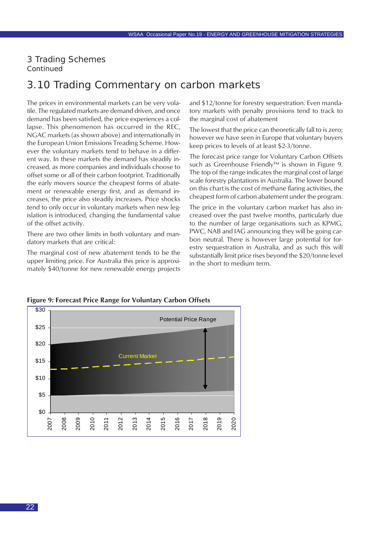# <span id="page-21-0"></span>3.10 Trading Commentary on carbon markets

The prices in environmental markets can be very volatile. The regulated markets are demand driven, and once demand has been satisfied, the price experiences a collapse. This phenomenon has occurred in the REC, NGAC markets (as shown above) and internationally in the European Union Emissions Treading Scheme. However the voluntary markets tend to behave in a different way. In these markets the demand has steadily increased, as more companies and individuals choose to offset some or all of their carbon footprint. Traditionally the early movers source the cheapest forms of abatement or renewable energy first, and as demand increases, the price also steadily increases. Price shocks tend to only occur in voluntary markets when new legislation is introduced, changing the fundamental value of the offset activity.

There are two other limits in both voluntary and mandatory markets that are critical:

The marginal cost of new abatement tends to be the upper limiting price. For Australia this price is approximately \$40/tonne for new renewable energy projects

and \$12/tonne for forestry sequestration. Even mandatory markets with penalty provisions tend to track to the marginal cost of abatement

The lowest that the price can theoretically fall to is zero; however we have seen in Europe that voluntary buyers keep prices to levels of at least \$2-3/tonne.

The forecast price range for Voluntary Carbon Offsets such as Greenhouse Friendlv™ is shown in Figure 9. The top of the range indicates the marginal cost of large scale forestry plantations in Australia. The lower bound on this chart is the cost of methane flaring activities, the cheapest form of carbon abatement under the program.

The price in the voluntary carbon market has also increased over the past twelve months, particularly due to the number of large organisations such as KPMG, PWC, NAB and IAG announcing they will be going carbon neutral. There is however large potential for forestry sequestration in Australia, and as such this will substantially limit price rises beyond the \$20/tonne level in the short to medium term.



**Figure 9: Forecast Price Range for Voluntary Carbon Offsets**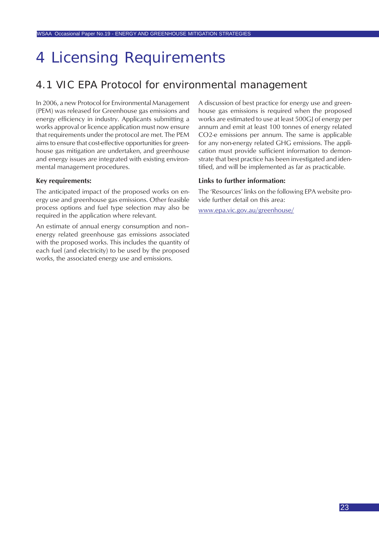# 4 Licensing Requirements

# 4.1 VIC EPA Protocol for environmental management

In 2006, a new Protocol for Environmental Management (PEM) was released for Greenhouse gas emissions and energy efficiency in industry. Applicants submitting a works approval or licence application must now ensure that requirements under the protocol are met. The PEM aims to ensure that cost-effective opportunities for greenhouse gas mitigation are undertaken, and greenhouse and energy issues are integrated with existing environmental management procedures.

#### **Key requirements:**

The anticipated impact of the proposed works on energy use and greenhouse gas emissions. Other feasible process options and fuel type selection may also be required in the application where relevant.

An estimate of annual energy consumption and non– energy related greenhouse gas emissions associated with the proposed works. This includes the quantity of each fuel (and electricity) to be used by the proposed works, the associated energy use and emissions.

A discussion of best practice for energy use and greenhouse gas emissions is required when the proposed works are estimated to use at least 500GJ of energy per annum and emit at least 100 tonnes of energy related CO2-e emissions per annum. The same is applicable for any non-energy related GHG emissions. The application must provide sufficient information to demonstrate that best practice has been investigated and identified, and will be implemented as far as practicable.

#### **Links to further information:**

The 'Resources' links on the following EPA website provide further detail on this area:

www.epa.vic.gov.au/greenhouse/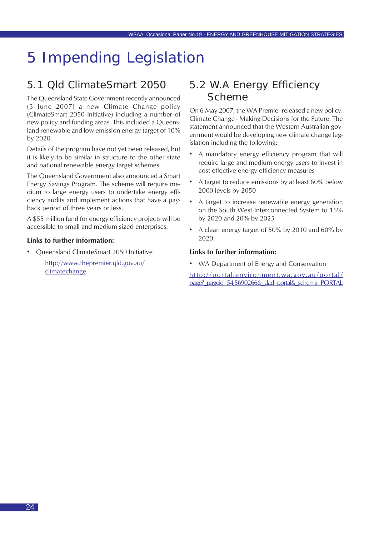# <span id="page-23-0"></span>5 Impending Legislation

# 5.1 Qld ClimateSmart 2050

The Queensland State Government recently announced (3 June 2007) a new Climate Change policy (ClimateSmart 2050 Initiative) including a number of new policy and funding areas. This included a Queensland renewable and low-emission energy target of 10% by 2020.

Details of the program have not yet been released, but it is likely to be similar in structure to the other state and national renewable energy target schemes.

The Queensland Government also announced a Smart Energy Savings Program. The scheme will require medium to large energy users to undertake energy efficiency audits and implement actions that have a payback period of three years or less.

A \$55 million fund for energy efficiency projects will be accessible to small and medium sized enterprises.

#### **Links to further information:**

• Queensland ClimateSmart 2050 Initiative

http://www.thepremier.qld.gov.au/ climatechange

# 5.2 W.A Energy Efficiency Scheme

On 6 May 2007, the WA Premier released a new policy: Climate Change - Making Decisions for the Future. The statement announced that the Western Australian government would be developing new climate change legislation including the following:

- A mandatory energy efficiency program that will require large and medium energy users to invest in cost effective energy efficiency measures
- A target to reduce emissions by at least 60% below 2000 levels by 2050
- A target to increase renewable energy generation on the South West Interconnected System to 15% by 2020 and 20% by 2025
- A clean energy target of 50% by 2010 and 60% by 2020.

#### **Links to further information:**

WA Department of Energy and Conservation

http://portal.environment.wa.gov.au/portal/ page?\_pageid=54,5690266&\_dad=portal&\_schema=PORTAL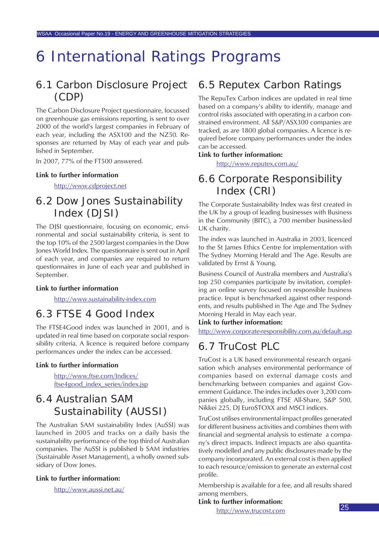# 6 International Ratings Programs

# 6.1 Carbon Disclosure Project (CDP)

The Carbon Disclosure Project questionnaire, focussed on greenhouse gas emissions reporting, is sent to over 2000 of the world's largest companies in February of each year, including the ASX100 and the NZ50. Responses are returned by May of each year and published in September.

In 2007, 77% of the FT500 answered.

#### **Link to further information**

http://www.cdproject.net

# 6.2 Dow Jones Sustainability Index (DJSI)

The DJSI questionnaire, focusing on economic, environmental and social sustainability criteria, is sent to the top 10% of the 2500 largest companies in the Dow Jones World Index. The questionnaire is sent out in April of each year, and companies are required to return questionnaires in June of each year and published in September.

#### **Link to further information**

http://www.sustainability-index.com

# 6.3 FTSE 4 Good Index

The FTSE4Good index was launched in 2001, and is updated in real time based on corporate social responsibility criteria. A licence is required before company performances under the index can be accessed.

#### **Link to further information**

http://www.ftse.com/Indices/ ftse4good\_index\_series/index.jsp

# 6.4 Australian SAM Sustainability (AUSSI)

The Australian SAM sustainability Index (AuSSI) was launched in 2005 and tracks on a daily basis the sustainability performance of the top third of Australian companies. The AuSSI is published b SAM industries (Sustainable Asset Management), a wholly owned subsidiary of Dow Jones.

#### **Link to further information:**

http://www.aussi.net.au/

# 6.5 Reputex Carbon Ratings

The RepuTex Carbon indices are updated in real time based on a company's ability to identify, manage and control risks associated with operating in a carbon constrained environment. All S&P/ASX300 companies are tracked, as are 1800 global companies. A licence is required before company performances under the index can be accessed.

#### **Link to further information:**

http://www.reputex.com.au/

# 6.6 Corporate Responsibility Index (CRI)

The Corporate Sustainability Index was first created in the UK by a group of leading businesses with Business in the Community (BITC), a 700 member business-led UK charity.

The index was launched in Australia in 2003, licenced to the St James Ethics Centre for implementation with The Sydney Morning Herald and The Age. Results are validated by Ernst & Young.

Business Council of Australia members and Australia's top 250 companies participate by invitation, completing an online survey focused on responsible business practice. Input is benchmarked against other respondents, and results published in The Age and The Sydney Morning Herald in May each year.

#### **Link to further information:**

http://www.corporate-responsibility.com.au/default.asp

# 6.7 TruCost PLC

TruCost is a UK based environmental research organisation which analyses environmental performance of companies based on external damage costs and benchmarking between companies and against Government Guidance. The index includes over 3,200 companies globally, including FTSE All-Share, S&P 500, Nikkei 225, DJ EuroSTOXX and MSCI indices.

TruCost utilises environmental impact profiles generated for different business activities and combines them with financial and segmental analysis to estimate a company's direct impacts. Indirect impacts are also quantitatively modelled and any public disclosures made by the company incorporated. An external cost is then applied to each resource/emission to generate an external cost profile.

Membership is available for a fee, and all results shared among members.

### **Link to further information:**

http://www.trucost.com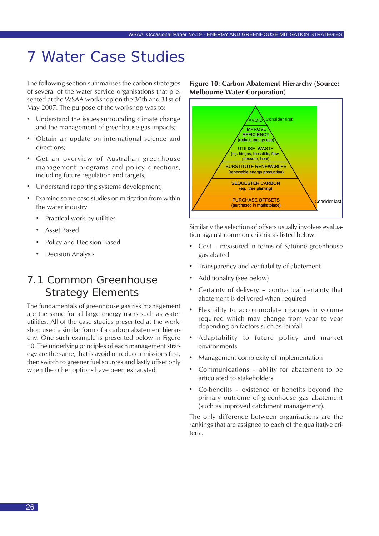**Melbourne Water Corporation)**

# <span id="page-25-0"></span>7 Water Case Studies

The following section summarises the carbon strategies of several of the water service organisations that presented at the WSAA workshop on the 30th and 31st of May 2007. The purpose of the workshop was to:

- Understand the issues surrounding climate change and the management of greenhouse gas impacts;
- Obtain an update on international science and directions;
- Get an overview of Australian greenhouse management programs and policy directions, including future regulation and targets;
- Understand reporting systems development;
- Examine some case studies on mitigation from within the water industry
	- Practical work by utilities
	- Asset Based
	- Policy and Decision Based
	- Decision Analysis

# 7.1 Common Greenhouse Strategy Elements

The fundamentals of greenhouse gas risk management are the same for all large energy users such as water utilities. All of the case studies presented at the workshop used a similar form of a carbon abatement hierarchy. One such example is presented below in Figure 10. The underlying principles of each management strategy are the same, that is avoid or reduce emissions first, then switch to greener fuel sources and lastly offset only when the other options have been exhausted.

#### UTILISE WASTE (eg. biogas, biosolids, flow, pressure, heat) SEQUESTER CARBON (eg. tree planting) PURCHASE OFFSETS (purchased in marketplace) SUBSTITUTE RENEWABLES (renewable energy production) Consider first **Consider** last IMPROVE **EFFICIENCY** (reduce energy use) AVOID

**Figure 10: Carbon Abatement Hierarchy (Source:**

Similarly the selection of offsets usually involves evaluation against common criteria as listed below.

- Cost measured in terms of  $\frac{1}{2}$ /tonne greenhouse gas abated
- Transparency and verifiability of abatement
- Additionality (see below)
- Certainty of delivery contractual certainty that abatement is delivered when required
- Flexibility to accommodate changes in volume required which may change from year to year depending on factors such as rainfall
- Adaptability to future policy and market environments
- Management complexity of implementation
- Communications ability for abatement to be articulated to stakeholders
- Co-benefits existence of benefits beyond the primary outcome of greenhouse gas abatement (such as improved catchment management).

The only difference between organisations are the rankings that are assigned to each of the qualitative criteria.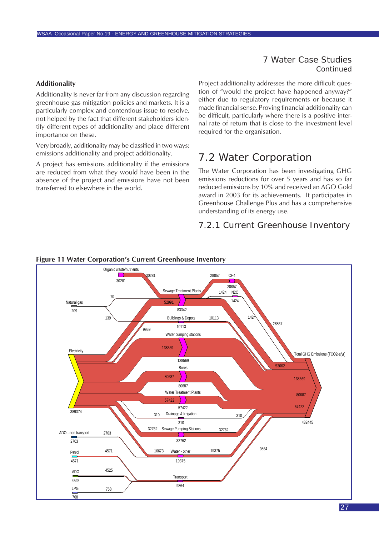#### <span id="page-26-0"></span>**Additionality**

Additionality is never far from any discussion regarding greenhouse gas mitigation policies and markets. It is a particularly complex and contentious issue to resolve, not helped by the fact that different stakeholders identify different types of additionality and place different importance on these.

Very broadly, additionality may be classified in two ways: emissions additionality and project additionality.

A project has emissions additionality if the emissions are reduced from what they would have been in the absence of the project and emissions have not been transferred to elsewhere in the world.

Project additionality addresses the more difficult question of "would the project have happened anyway?" either due to regulatory requirements or because it made financial sense. Proving financial additionality can be difficult, particularly where there is a positive internal rate of return that is close to the investment level required for the organisation.

# 7.2 Water Corporation

The Water Corporation has been investigating GHG emissions reductions for over 5 years and has so far reduced emissions by 10% and received an AGO Gold award in 2003 for its achievements. It participates in Greenhouse Challenge Plus and has a comprehensive understanding of its energy use.

### 7.2.1 Current Greenhouse Inventory



#### **Figure 11 Water Corporation's Current Greenhouse Inventory**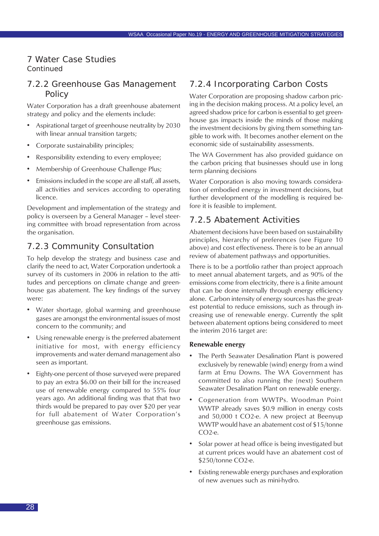# <span id="page-27-0"></span>7.2.2 Greenhouse Gas Management **Policy**

Water Corporation has a draft greenhouse abatement strategy and policy and the elements include:

- Aspirational target of greenhouse neutrality by 2030 with linear annual transition targets;
- Corporate sustainability principles;
- Responsibility extending to every employee;
- Membership of Greenhouse Challenge Plus;
- Emissions included in the scope are all staff, all assets, all activities and services according to operating licence.

Development and implementation of the strategy and policy is overseen by a General Manager – level steering committee with broad representation from across the organisation.

## 7.2.3 Community Consultation

To help develop the strategy and business case and clarify the need to act, Water Corporation undertook a survey of its customers in 2006 in relation to the attitudes and perceptions on climate change and greenhouse gas abatement. The key findings of the survey were:

- Water shortage, global warming and greenhouse gases are amongst the environmental issues of most concern to the community; and
- Using renewable energy is the preferred abatement initiative for most, with energy efficiency improvements and water demand management also seen as important.
- Eighty-one percent of those surveyed were prepared to pay an extra \$6.00 on their bill for the increased use of renewable energy compared to 55% four years ago. An additional finding was that that two thirds would be prepared to pay over \$20 per year for full abatement of Water Corporation's greenhouse gas emissions.

# 7.2.4 Incorporating Carbon Costs

Water Corporation are proposing shadow carbon pricing in the decision making process. At a policy level, an agreed shadow price for carbon is essential to get greenhouse gas impacts inside the minds of those making the investment decisions by giving them something tangible to work with. It becomes another element on the economic side of sustainability assessments.

The WA Government has also provided guidance on the carbon pricing that businesses should use in long term planning decisions

Water Corporation is also moving towards consideration of embodied energy in investment decisions, but further development of the modelling is required before it is feasible to implement.

# 7.2.5 Abatement Activities

Abatement decisions have been based on sustainability principles, hierarchy of preferences (see Figure 10 above) and cost effectiveness. There is to be an annual review of abatement pathways and opportunities.

There is to be a portfolio rather than project approach to meet annual abatement targets, and as 90% of the emissions come from electricity, there is a finite amount that can be done internally through energy efficiency alone. Carbon intensity of energy sources has the greatest potential to reduce emissions, such as through increasing use of renewable energy. Currently the split between abatement options being considered to meet the interim 2016 target are:

#### **Renewable energy**

- The Perth Seawater Desalination Plant is powered exclusively by renewable (wind) energy from a wind farm at Emu Downs. The WA Government has committed to also running the (next) Southern Seawater Desalination Plant on renewable energy.
- Cogeneration from WWTPs. Woodman Point WWTP already saves \$0.9 million in energy costs and 50,000 t CO2-e. A new project at Beenyup WWTP would have an abatement cost of \$15/tonne CO2-e.
- Solar power at head office is being investigated but at current prices would have an abatement cost of \$250/tonne CO2-e.
- Existing renewable energy purchases and exploration of new avenues such as mini-hydro.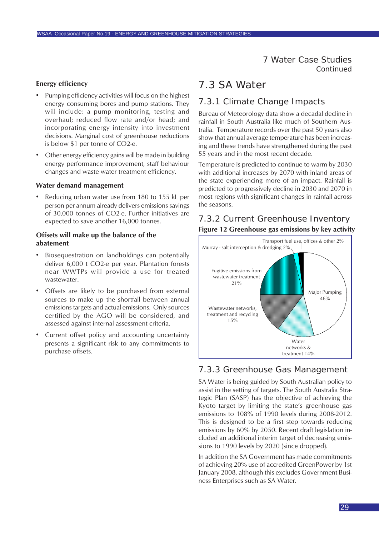#### <span id="page-28-0"></span>**Energy efficiency**

- Pumping efficiency activities will focus on the highest energy consuming bores and pump stations. They will include: a pump monitoring, testing and overhaul; reduced flow rate and/or head; and incorporating energy intensity into investment decisions. Marginal cost of greenhouse reductions is below \$1 per tonne of CO2-e.
- Other energy efficiency gains will be made in building energy performance improvement, staff behaviour changes and waste water treatment efficiency.

#### **Water demand management**

• Reducing urban water use from 180 to 155 kL per person per annum already delivers emissions savings of 30,000 tonnes of CO2-e. Further initiatives are expected to save another 16,000 tonnes.

#### **Offsets will make up the balance of the abatement**

- Biosequestration on landholdings can potentially deliver 6,000 t CO2-e per year. Plantation forests near WWTPs will provide a use for treated wastewater.
- Offsets are likely to be purchased from external sources to make up the shortfall between annual emissions targets and actual emissions. Only sources certified by the AGO will be considered, and assessed against internal assessment criteria.
- Current offset policy and accounting uncertainty presents a significant risk to any commitments to purchase offsets.

# 7.3 SA Water

## 7.3.1 Climate Change Impacts

Bureau of Meteorology data show a decadal decline in rainfall in South Australia like much of Southern Australia. Temperature records over the past 50 years also show that annual average temperature has been increasing and these trends have strengthened during the past 55 years and in the most recent decade.

Temperature is predicted to continue to warm by 2030 with additional increases by 2070 with inland areas of the state experiencing more of an impact. Rainfall is predicted to progressively decline in 2030 and 2070 in most regions with significant changes in rainfall across the seasons.



### 7.3.2 Current Greenhouse Inventory **Figure 12 Greenhouse gas emissions by key activity**

## 7.3.3 Greenhouse Gas Management

SA Water is being guided by South Australian policy to assist in the setting of targets. The South Australia Strategic Plan (SASP) has the objective of achieving the Kyoto target by limiting the state's greenhouse gas emissions to 108% of 1990 levels during 2008-2012. This is designed to be a first step towards reducing emissions by 60% by 2050. Recent draft legislation included an additional interim target of decreasing emissions to 1990 levels by 2020 (since dropped).

In addition the SA Government has made commitments of achieving 20% use of accredited GreenPower by 1st January 2008, although this excludes Government Business Enterprises such as SA Water.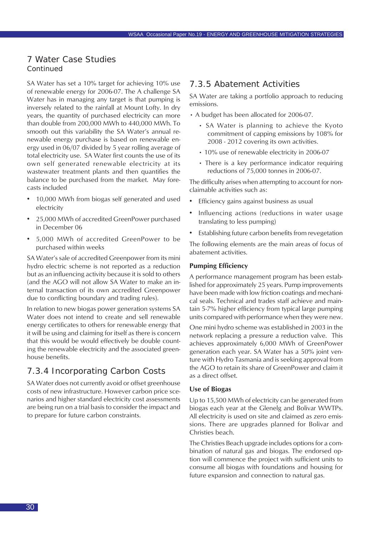<span id="page-29-0"></span>SA Water has set a 10% target for achieving 10% use of renewable energy for 2006-07. The A challenge SA Water has in managing any target is that pumping is inversely related to the rainfall at Mount Lofty. In dry years, the quantity of purchased electricity can more than double from 200,000 MWh to 440,000 MWh. To smooth out this variability the SA Water's annual renewable energy purchase is based on renewable energy used in 06/07 divided by 5 year rolling average of total electricity use. SA Water first counts the use of its own self generated renewable electricity at its wastewater treatment plants and then quantifies the balance to be purchased from the market. May forecasts included

- 10,000 MWh from biogas self generated and used electricity
- 25,000 MWh of accredited GreenPower purchased in December 06
- 5,000 MWh of accredited GreenPower to be purchased within weeks

SA Water's sale of accredited Greenpower from its mini hydro electric scheme is not reported as a reduction but as an influencing activity because it is sold to others (and the AGO will not allow SA Water to make an internal transaction of its own accredited Greenpower due to conflicting boundary and trading rules).

In relation to new biogas power generation systems SA Water does not intend to create and sell renewable energy certificates to others for renewable energy that it will be using and claiming for itself as there is concern that this would be would effectively be double counting the renewable electricity and the associated greenhouse benefits.

# 7.3.4 Incorporating Carbon Costs

SA Water does not currently avoid or offset greenhouse costs of new infrastructure. However carbon price scenarios and higher standard electricity cost assessments are being run on a trial basis to consider the impact and to prepare for future carbon constraints.

### 7.3.5 Abatement Activities

SA Water are taking a portfolio approach to reducing emissions.

- A budget has been allocated for 2006-07.
	- SA Water is planning to achieve the Kyoto commitment of capping emissions by 108% for 2008 - 2012 covering its own activities.
	- 10% use of renewable electricity in 2006-07
	- There is a key performance indicator requiring reductions of 75,000 tonnes in 2006-07.

The difficulty arises when attempting to account for nonclaimable activities such as:

- Efficiency gains against business as usual
- Influencing actions (reductions in water usage translating to less pumping)
- Establishing future carbon benefits from revegetation

The following elements are the main areas of focus of abatement activities.

#### **Pumping Efficiency**

A performance management program has been established for approximately 25 years. Pump improvements have been made with low friction coatings and mechanical seals. Technical and trades staff achieve and maintain 5-7% higher efficiency from typical large pumping units compared with performance when they were new.

One mini hydro scheme was established in 2003 in the network replacing a pressure a reduction valve. This achieves approximately 6,000 MWh of GreenPower generation each year. SA Water has a 50% joint venture with Hydro Tasmania and is seeking approval from the AGO to retain its share of GreenPower and claim it as a direct offset.

#### **Use of Biogas**

Up to 15,500 MWh of electricity can be generated from biogas each year at the Glenelg and Bolivar WWTPs. All electricity is used on site and claimed as zero emissions. There are upgrades planned for Bolivar and Christies beach.

The Christies Beach upgrade includes options for a combination of natural gas and biogas. The endorsed option will commence the project with sufficient units to consume all biogas with foundations and housing for future expansion and connection to natural gas.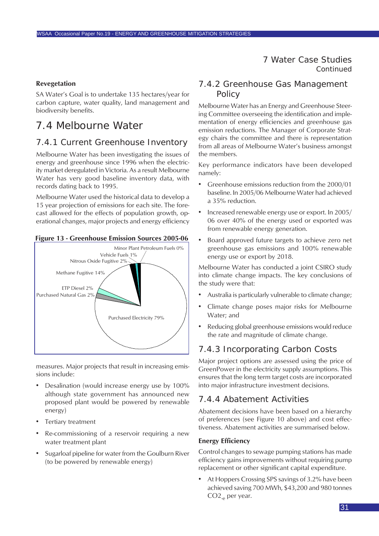#### <span id="page-30-0"></span>**Revegetation**

SA Water's Goal is to undertake 135 hectares/year for carbon capture, water quality, land management and biodiversity benefits.

# 7.4 Melbourne Water

## 7.4.1 Current Greenhouse Inventory

Melbourne Water has been investigating the issues of energy and greenhouse since 1996 when the electricity market deregulated in Victoria. As a result Melbourne Water has very good baseline inventory data, with records dating back to 1995.

Melbourne Water used the historical data to develop a 15 year projection of emissions for each site. The forecast allowed for the effects of population growth, operational changes, major projects and energy efficiency



measures. Major projects that result in increasing emissions include:

- Desalination (would increase energy use by 100% although state government has announced new proposed plant would be powered by renewable energy)
- Tertiary treatment
- Re-commissioning of a reservoir requiring a new water treatment plant
- Sugarloaf pipeline for water from the Goulburn River (to be powered by renewable energy)

## 7.4.2 Greenhouse Gas Management Policy

Melbourne Water has an Energy and Greenhouse Steering Committee overseeing the identification and implementation of energy efficiencies and greenhouse gas emission reductions. The Manager of Corporate Strategy chairs the committee and there is representation from all areas of Melbourne Water's business amongst the members.

Key performance indicators have been developed namely:

- Greenhouse emissions reduction from the 2000/01 baseline. In 2005/06 Melbourne Water had achieved a 35% reduction.
- Increased renewable energy use or export. In 2005/ 06 over 40% of the energy used or exported was from renewable energy generation.
- Board approved future targets to achieve zero net greenhouse gas emissions and 100% renewable energy use or export by 2018.

Melbourne Water has conducted a joint CSIRO study into climate change impacts. The key conclusions of the study were that:

- Australia is particularly vulnerable to climate change;
- Climate change poses major risks for Melbourne Water; and
- Reducing global greenhouse emissions would reduce the rate and magnitude of climate change.

### 7.4.3 Incorporating Carbon Costs

Major project options are assessed using the price of GreenPower in the electricity supply assumptions. This ensures that the long term target costs are incorporated into major infrastructure investment decisions.

### 7.4.4 Abatement Activities

Abatement decisions have been based on a hierarchy of preferences (see Figure 10 above) and cost effectiveness. Abatement activities are summarised below.

#### **Energy Efficiency**

Control changes to sewage pumping stations has made efficiency gains improvements without requiring pump replacement or other significant capital expenditure.

• At Hoppers Crossing SPS savings of 3.2% have been achieved saving 700 MWh, \$43,200 and 980 tonnes CO<sub>2-e</sub> per year.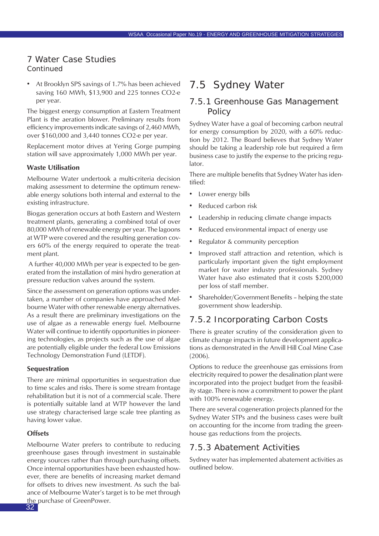<span id="page-31-0"></span>• At Brooklyn SPS savings of 1.7% has been achieved saving 160 MWh, \$13,900 and 225 tonnes CO2-e per year.

The biggest energy consumption at Eastern Treatment Plant is the aeration blower. Preliminary results from efficiency improvements indicate savings of 2,460 MWh, over \$160,000 and 3,440 tonnes CO2-e per year.

Replacement motor drives at Yering Gorge pumping station will save approximately 1,000 MWh per year.

#### **Waste Utilisation**

Melbourne Water undertook a multi-criteria decision making assessment to determine the optimum renewable energy solutions both internal and external to the existing infrastructure.

Biogas generation occurs at both Eastern and Western treatment plants, generating a combined total of over 80,000 MWh of renewable energy per year. The lagoons at WTP were covered and the resulting generation covers 60% of the energy required to operate the treatment plant.

 A further 40,000 MWh per year is expected to be generated from the installation of mini hydro generation at pressure reduction valves around the system.

Since the assessment on generation options was undertaken, a number of companies have approached Melbourne Water with other renewable energy alternatives. As a result there are preliminary investigations on the use of algae as a renewable energy fuel. Melbourne Water will continue to identify opportunities in pioneering technologies, as projects such as the use of algae are potentially eligible under the federal Low Emissions Technology Demonstration Fund (LETDF).

#### **Sequestration**

There are minimal opportunities in sequestration due to time scales and risks. There is some stream frontage rehabilitation but it is not of a commercial scale. There is potentially suitable land at WTP however the land use strategy characterised large scale tree planting as having lower value.

#### **Offsets**

Melbourne Water prefers to contribute to reducing greenhouse gases through investment in sustainable energy sources rather than through purchasing offsets. Once internal opportunities have been exhausted however, there are benefits of increasing market demand for offsets to drives new investment. As such the balance of Melbourne Water's target is to be met through the purchase of GreenPower.

# 7.5 Sydney Water

## 7.5.1 Greenhouse Gas Management Policy

Sydney Water have a goal of becoming carbon neutral for energy consumption by 2020, with a 60% reduction by 2012. The Board believes that Sydney Water should be taking a leadership role but required a firm business case to justify the expense to the pricing regulator.

There are multiple benefits that Sydney Water has identified:

- Lower energy bills
- Reduced carbon risk
- Leadership in reducing climate change impacts
- Reduced environmental impact of energy use
- Regulator & community perception
- Improved staff attraction and retention, which is particularly important given the tight employment market for water industry professionals. Sydney Water have also estimated that it costs \$200,000 per loss of staff member.
- Shareholder/Government Benefits helping the state government show leadership.

## 7.5.2 Incorporating Carbon Costs

There is greater scrutiny of the consideration given to climate change impacts in future development applications as demonstrated in the Anvill Hill Coal Mine Case (2006).

Options to reduce the greenhouse gas emissions from electricity required to power the desalination plant were incorporated into the project budget from the feasibility stage. There is now a commitment to power the plant with 100% renewable energy.

There are several cogeneration projects planned for the Sydney Water STPs and the business cases were built on accounting for the income from trading the greenhouse gas reductions from the projects.

### 7.5.3 Abatement Activities

Sydney water has implemented abatement activities as outlined below.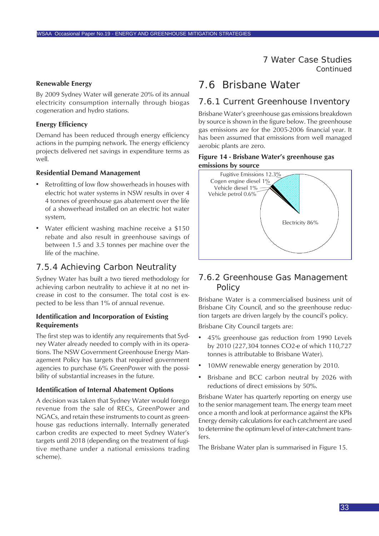#### <span id="page-32-0"></span>**Renewable Energy**

By 2009 Sydney Water will generate 20% of its annual electricity consumption internally through biogas cogeneration and hydro stations.

#### **Energy Efficiency**

Demand has been reduced through energy efficiency actions in the pumping network. The energy efficiency projects delivered net savings in expenditure terms as well.

#### **Residential Demand Management**

- Retrofitting of low flow showerheads in houses with electric hot water systems in NSW results in over 4 4 tonnes of greenhouse gas abatement over the life of a showerhead installed on an electric hot water system,
- Water efficient washing machine receive a \$150 rebate and also result in greenhouse savings of between 1.5 and 3.5 tonnes per machine over the life of the machine.

### 7.5.4 Achieving Carbon Neutrality

Sydney Water has built a two tiered methodology for achieving carbon neutrality to achieve it at no net increase in cost to the consumer. The total cost is expected to be less than 1% of annual revenue.

#### **Identification and Incorporation of Existing Requirements**

The first step was to identify any requirements that Sydney Water already needed to comply with in its operations. The NSW Government Greenhouse Energy Management Policy has targets that required government agencies to purchase 6% GreenPower with the possibility of substantial increases in the future.

#### **Identification of Internal Abatement Options**

A decision was taken that Sydney Water would forego revenue from the sale of RECs, GreenPower and NGACs, and retain these instruments to count as greenhouse gas reductions internally. Internally generated carbon credits are expected to meet Sydney Water's targets until 2018 (depending on the treatment of fugitive methane under a national emissions trading scheme).

# 7.6 Brisbane Water

## 7.6.1 Current Greenhouse Inventory

Brisbane Water's greenhouse gas emissions breakdown by source is shown in the figure below. The greenhouse gas emissions are for the 2005-2006 financial year. It has been assumed that emissions from well managed aerobic plants are zero.

#### **Figure 14 - Brisbane Water's greenhouse gas emissions by source**



## 7.6.2 Greenhouse Gas Management Policy

Brisbane Water is a commercialised business unit of Brisbane City Council, and so the greenhouse reduction targets are driven largely by the council's policy.

Brisbane City Council targets are:

- 45% greenhouse gas reduction from 1990 Levels by 2010 (227,304 tonnes CO2-e of which 110,727 tonnes is attributable to Brisbane Water).
- 10MW renewable energy generation by 2010.
- Brisbane and BCC carbon neutral by 2026 with reductions of direct emissions by 50%.

Brisbane Water has quarterly reporting on energy use to the senior management team. The energy team meet once a month and look at performance against the KPIs Energy density calculations for each catchment are used to determine the optimum level of inter-catchment transfers.

The Brisbane Water plan is summarised in Figure 15.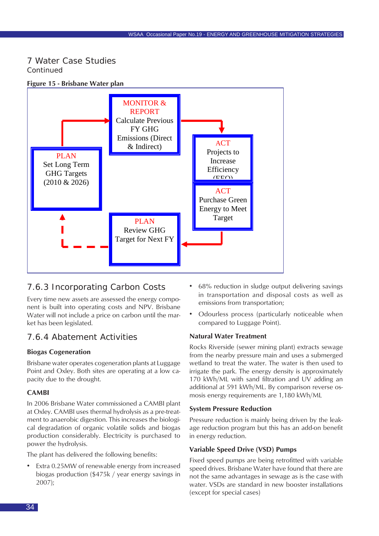#### <span id="page-33-0"></span>**Figure 15 - Brisbane Water plan**



# 7.6.3 Incorporating Carbon Costs

Every time new assets are assessed the energy component is built into operating costs and NPV. Brisbane Water will not include a price on carbon until the market has been legislated.

# 7.6.4 Abatement Activities

#### **Biogas Cogeneration**

Brisbane water operates cogeneration plants at Luggage Point and Oxley. Both sites are operating at a low capacity due to the drought.

#### **CAMBI**

In 2006 Brisbane Water commissioned a CAMBI plant at Oxley. CAMBI uses thermal hydrolysis as a pre-treatment to anaerobic digestion. This increases the biological degradation of organic volatile solids and biogas production considerably. Electricity is purchased to power the hydrolysis.

The plant has delivered the following benefits:

Extra 0.25MW of renewable energy from increased biogas production (\$475k / year energy savings in 2007);

- 68% reduction in sludge output delivering savings in transportation and disposal costs as well as emissions from transportation;
- Odourless process (particularly noticeable when compared to Luggage Point).

#### **Natural Water Treatment**

Rocks Riverside (sewer mining plant) extracts sewage from the nearby pressure main and uses a submerged wetland to treat the water. The water is then used to irrigate the park. The energy density is approximately 170 kWh/ML with sand filtration and UV adding an additional at 591 kWh/ML. By comparison reverse osmosis energy requirements are 1,180 kWh/ML

#### **System Pressure Reduction**

Pressure reduction is mainly being driven by the leakage reduction program but this has an add-on benefit in energy reduction.

#### **Variable Speed Drive (VSD) Pumps**

Fixed speed pumps are being retrofitted with variable speed drives. Brisbane Water have found that there are not the same advantages in sewage as is the case with water. VSDs are standard in new booster installations (except for special cases)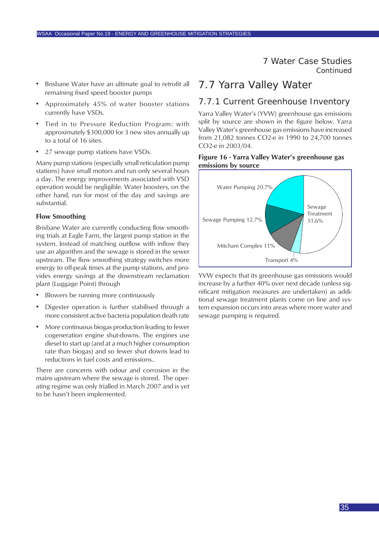- <span id="page-34-0"></span>• Brisbane Water have an ultimate goal to retrofit all remaining fixed speed booster pumps
- Approximately 45% of water booster stations currently have VSDs.
- Tied in to Pressure Reduction Program: with approximately \$300,000 for 3 new sites annually up to a total of 16 sites.
- 27 sewage pump stations have VSDs.

Many pump stations (especially small reticulation pump stations) have small motors and run only several hours a day. The energy improvements associated with VSD operation would be negligible. Water boosters, on the other hand, run for most of the day and savings are substantial.

#### **Flow Smoothing**

Brisbane Water are currently conducting flow smoothing trials at Eagle Farm, the largest pump station in the system. Instead of matching outflow with inflow they use an algorithm and the sewage is stored in the sewer upstream. The flow smoothing strategy switches more energy to off-peak times at the pump stations, and provides energy savings at the downstream reclamation plant (Luggage Point) through

- Blowers be running more continuously
- Digester operation is further stabilised through a more consistent active bacteria population death rate
- More continuous biogas production leading to fewer cogeneration engine shut-downs. The engines use diesel to start up (and at a much higher consumption rate than biogas) and so fewer shut downs lead to reductions in fuel costs and emissions..

There are concerns with odour and corrosion in the mains upstream where the sewage is stored. The operating regime was only trialled in March 2007 and is yet to be hasn't been implemented.

# 7.7 Yarra Valley Water

## 7.7.1 Current Greenhouse Inventory

Yarra Valley Water's (YVW) greenhouse gas emissions split by source are shown in the figure below. Yarra Valley Water's greenhouse gas emissions have increased from 21,082 tonnes CO2-e in 1990 to 24,700 tonnes CO2-e in 2003/04.

#### **Figure 16 - Yarra Valley Water's greenhouse gas emissions by source**



YVW expects that its greenhouse gas emissions would increase by a further 40% over next decade (unless significant mitigation measures are undertaken) as additional sewage treatment plants come on line and system expansion occurs into areas where more water and sewage pumping is required.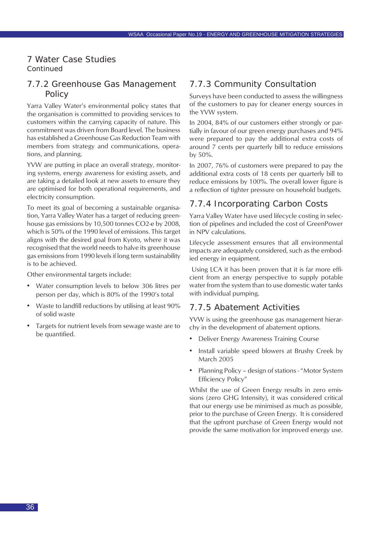## <span id="page-35-0"></span>7.7.2 Greenhouse Gas Management **Policy**

Yarra Valley Water's environmental policy states that the organisation is committed to providing services to customers within the carrying capacity of nature. This commitment was driven from Board level. The business has established a Greenhouse Gas Reduction Team with members from strategy and communications, operations, and planning.

YVW are putting in place an overall strategy, monitoring systems, energy awareness for existing assets, and are taking a detailed look at new assets to ensure they are optimised for both operational requirements, and electricity consumption.

To meet its goal of becoming a sustainable organisation, Yarra Valley Water has a target of reducing greenhouse gas emissions by 10,500 tonnes CO2-e by 2008, which is 50% of the 1990 level of emissions. This target aligns with the desired goal from Kyoto, where it was recognised that the world needs to halve its greenhouse gas emissions from 1990 levels if long term sustainability is to be achieved.

Other environmental targets include:

- Water consumption levels to below 306 litres per person per day, which is 80% of the 1990's total
- Waste to landfill reductions by utilising at least 90% of solid waste
- Targets for nutrient levels from sewage waste are to be quantified.

### 7.7.3 Community Consultation

Surveys have been conducted to assess the willingness of the customers to pay for cleaner energy sources in the YVW system.

In 2004, 84% of our customers either strongly or partially in favour of our green energy purchases and 94% were prepared to pay the additional extra costs of around 7 cents per quarterly bill to reduce emissions by 50%.

In 2007, 76% of customers were prepared to pay the additional extra costs of 18 cents per quarterly bill to reduce emissions by 100%. The overall lower figure is a reflection of tighter pressure on household budgets.

### 7.7.4 Incorporating Carbon Costs

Yarra Valley Water have used lifecycle costing in selection of pipelines and included the cost of GreenPower in NPV calculations.

Lifecycle assessment ensures that all environmental impacts are adequately considered, such as the embodied energy in equipment.

 Using LCA it has been proven that it is far more efficient from an energy perspective to supply potable water from the system than to use domestic water tanks with individual pumping.

### 7.7.5 Abatement Activities

YVW is using the greenhouse gas management hierarchy in the development of abatement options.

- Deliver Energy Awareness Training Course
- Install variable speed blowers at Brushy Creek by March 2005
- Planning Policy design of stations "Motor System Efficiency Policy"

Whilst the use of Green Energy results in zero emissions (zero GHG Intensity), it was considered critical that our energy use be minimised as much as possible, prior to the purchase of Green Energy. It is considered that the upfront purchase of Green Energy would not provide the same motivation for improved energy use.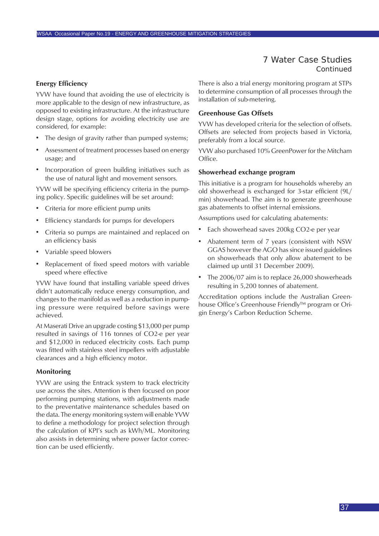#### <span id="page-36-0"></span>**Energy Efficiency**

YVW have found that avoiding the use of electricity is more applicable to the design of new infrastructure, as opposed to existing infrastructure. At the infrastructure design stage, options for avoiding electricity use are considered, for example:

- The design of gravity rather than pumped systems;
- Assessment of treatment processes based on energy usage; and
- Incorporation of green building initiatives such as the use of natural light and movement sensors.

YVW will be specifying efficiency criteria in the pumping policy. Specific guidelines will be set around:

- Criteria for more efficient pump units
- Efficiency standards for pumps for developers
- Criteria so pumps are maintained and replaced on an efficiency basis
- Variable speed blowers
- Replacement of fixed speed motors with variable speed where effective

YVW have found that installing variable speed drives didn't automatically reduce energy consumption, and changes to the manifold as well as a reduction in pumping pressure were required before savings were achieved.

At Maserati Drive an upgrade costing \$13,000 per pump resulted in savings of 116 tonnes of CO2-e per year and \$12,000 in reduced electricity costs. Each pump was fitted with stainless steel impellers with adjustable clearances and a high efficiency motor.

#### **Monitoring**

YVW are using the Entrack system to track electricity use across the sites. Attention is then focused on poor performing pumping stations, with adjustments made to the preventative maintenance schedules based on the data. The energy monitoring system will enable YVW to define a methodology for project selection through the calculation of KPI's such as kWh/ML. Monitoring also assists in determining where power factor correction can be used efficiently.

There is also a trial energy monitoring program at STPs to determine consumption of all processes through the installation of sub-metering.

#### **Greenhouse Gas Offsets**

YVW has developed criteria for the selection of offsets. Offsets are selected from projects based in Victoria, preferably from a local source.

YVW also purchased 10% GreenPower for the Mitcham Office.

#### **Showerhead exchange program**

This initiative is a program for households whereby an old showerhead is exchanged for 3-star efficient (9L/ min) showerhead. The aim is to generate greenhouse gas abatements to offset internal emissions.

Assumptions used for calculating abatements:

- Each showerhead saves 200kg CO2-e per year
- Abatement term of 7 years (consistent with NSW GGAS however the AGO has since issued guidelines on showerheads that only allow abatement to be claimed up until 31 December 2009).
- The 2006/07 aim is to replace 26,000 showerheads resulting in 5,200 tonnes of abatement.

Accreditation options include the Australian Greenhouse Office's Greenhouse Friendly™ program or Origin Energy's Carbon Reduction Scheme.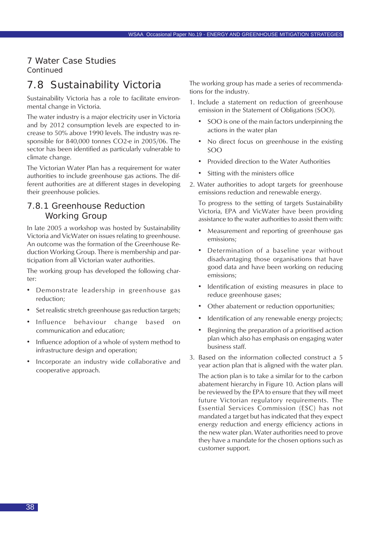# <span id="page-37-0"></span>7 Water Case Studies

*Continued*

# 7.8 Sustainability Victoria

Sustainability Victoria has a role to facilitate environmental change in Victoria.

The water industry is a major electricity user in Victoria and by 2012 consumption levels are expected to increase to 50% above 1990 levels. The industry was responsible for 840,000 tonnes CO2-e in 2005/06. The sector has been identified as particularly vulnerable to climate change.

The Victorian Water Plan has a requirement for water authorities to include greenhouse gas actions. The different authorities are at different stages in developing their greenhouse policies.

# 7.8.1 Greenhouse Reduction Working Group

In late 2005 a workshop was hosted by Sustainability Victoria and VicWater on issues relating to greenhouse. An outcome was the formation of the Greenhouse Reduction Working Group. There is membership and participation from all Victorian water authorities.

The working group has developed the following charter:

- Demonstrate leadership in greenhouse gas reduction;
- Set realistic stretch greenhouse gas reduction targets;
- Influence behaviour change based on communication and education;
- Influence adoption of a whole of system method to infrastructure design and operation;
- Incorporate an industry wide collaborative and cooperative approach.

The working group has made a series of recommendations for the industry.

- 1. Include a statement on reduction of greenhouse emission in the Statement of Obligations (SOO).
	- SOO is one of the main factors underpinning the actions in the water plan
	- No direct focus on greenhouse in the existing SOO
	- Provided direction to the Water Authorities
	- Sitting with the ministers office
- 2. Water authorities to adopt targets for greenhouse emissions reduction and renewable energy.

To progress to the setting of targets Sustainability Victoria, EPA and VicWater have been providing assistance to the water authorities to assist them with:

- Measurement and reporting of greenhouse gas emissions;
- Determination of a baseline year without disadvantaging those organisations that have good data and have been working on reducing emissions;
- Identification of existing measures in place to reduce greenhouse gases;
- Other abatement or reduction opportunities;
- Identification of any renewable energy projects;
- Beginning the preparation of a prioritised action plan which also has emphasis on engaging water business staff.
- 3. Based on the information collected construct a 5 year action plan that is aligned with the water plan.

The action plan is to take a similar for to the carbon abatement hierarchy in Figure 10. Action plans will be reviewed by the EPA to ensure that they will meet future Victorian regulatory requirements. The Essential Services Commission (ESC) has not mandated a target but has indicated that they expect energy reduction and energy efficiency actions in the new water plan. Water authorities need to prove they have a mandate for the chosen options such as customer support.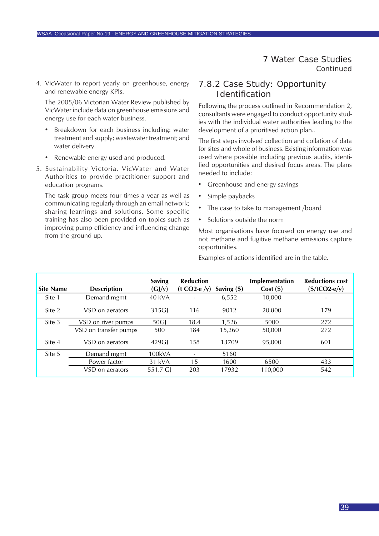4. VicWater to report yearly on greenhouse, energy and renewable energy KPIs.

The 2005/06 Victorian Water Review published by VicWater include data on greenhouse emissions and energy use for each water business.

- Breakdown for each business including: water treatment and supply; wastewater treatment; and water delivery.
- Renewable energy used and produced.
- 5. Sustainability Victoria, VicWater and Water Authorities to provide practitioner support and education programs.

The task group meets four times a year as well as communicating regularly through an email network; sharing learnings and solutions. Some specific training has also been provided on topics such as improving pump efficiency and influencing change from the ground up.

# 7.8.2 Case Study: Opportunity Identification

Following the process outlined in Recommendation 2, consultants were engaged to conduct opportunity studies with the individual water authorities leading to the development of a prioritised action plan..

The first steps involved collection and collation of data for sites and whole of business. Existing information was used where possible including previous audits, identified opportunities and desired focus areas. The plans needed to include:

- Greenhouse and energy savings
- Simple paybacks
- The case to take to management /board
- Solutions outside the norm

Most organisations have focused on energy use and not methane and fugitive methane emissions capture opportunities.

Examples of actions identified are in the table.

| <b>Site Name</b> | <b>Description</b>    | <b>Saving</b><br>(GJ/y) | <b>Reduction</b><br>$(t CO2-e/y)$ | Saving $(\$)$ | Implementation<br>$Cost($ \$) | <b>Reductions cost</b><br>$($/tCO2-e/y)$ |
|------------------|-----------------------|-------------------------|-----------------------------------|---------------|-------------------------------|------------------------------------------|
| Site 1           | Demand mgmt           | 40 kVA                  |                                   | 6.552         | 10,000                        | ٠                                        |
| Site 2           | VSD on aerators       | 315GI                   | 116                               | 9012          | 20,800                        | 179                                      |
| Site 3           | VSD on river pumps    | 50GI                    | 18.4                              | 1,526         | 5000                          | 272                                      |
|                  | VSD on transfer pumps | 500                     | 184                               | 15,260        | 50,000                        | 272                                      |
| Site 4           | VSD on aerators       | 429GI                   | 158                               | 13709         | 95,000                        | 601                                      |
| Site 5           | Demand mgmt           | 100kVA                  |                                   | 5160          |                               |                                          |
|                  | Power factor          | 31 kVA                  | 15                                | 1600          | 6500                          | 433                                      |
|                  | VSD on aerators       | 551.7 GI                | 203                               | 17932         | 110,000                       | 542                                      |